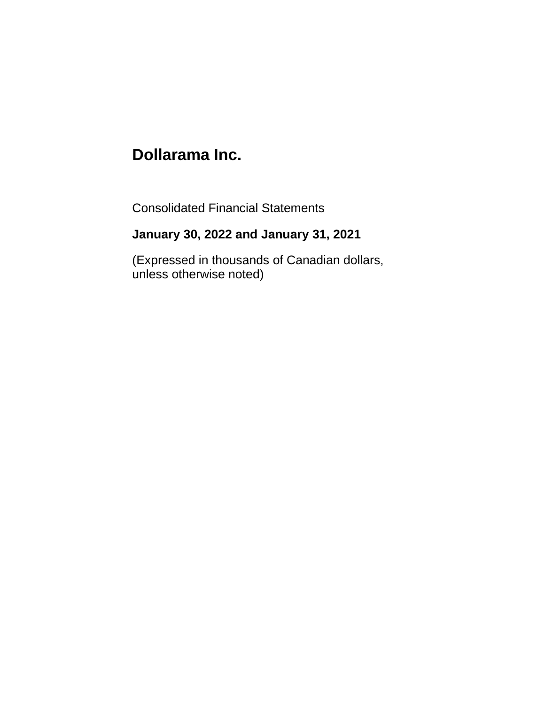Consolidated Financial Statements

# **January 30, 2022 and January 31, 2021**

(Expressed in thousands of Canadian dollars, unless otherwise noted)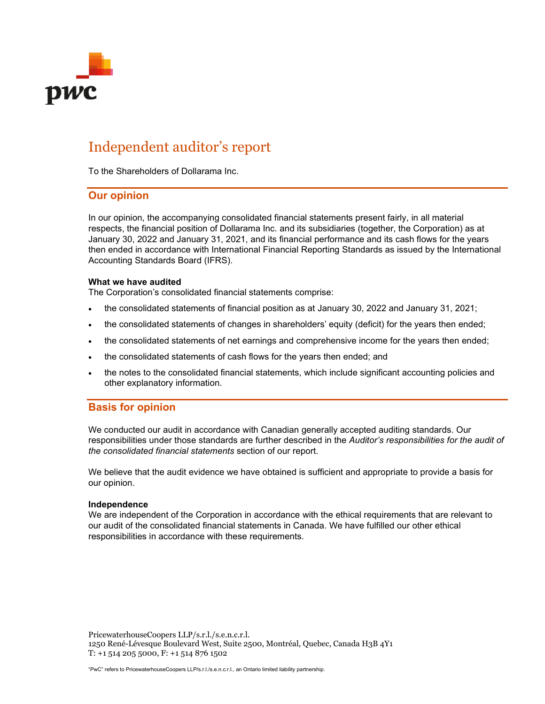

# Independent auditor's report

To the Shareholders of Dollarama Inc.

### **Our opinion**

In our opinion, the accompanying consolidated financial statements present fairly, in all material respects, the financial position of Dollarama Inc. and its subsidiaries (together, the Corporation) as at January 30, 2022 and January 31, 2021, and its financial performance and its cash flows for the years then ended in accordance with International Financial Reporting Standards as issued by the International Accounting Standards Board (IFRS).

### **What we have audited**

The Corporation's consolidated financial statements comprise:

- the consolidated statements of financial position as at January 30, 2022 and January 31, 2021;
- the consolidated statements of changes in shareholders' equity (deficit) for the years then ended;
- the consolidated statements of net earnings and comprehensive income for the years then ended;
- the consolidated statements of cash flows for the years then ended; and
- the notes to the consolidated financial statements, which include significant accounting policies and other explanatory information.

### **Basis for opinion**

We conducted our audit in accordance with Canadian generally accepted auditing standards. Our responsibilities under those standards are further described in the *Auditor's responsibilities for the audit of the consolidated financial statements* section of our report.

We believe that the audit evidence we have obtained is sufficient and appropriate to provide a basis for our opinion.

#### **Independence**

We are independent of the Corporation in accordance with the ethical requirements that are relevant to our audit of the consolidated financial statements in Canada. We have fulfilled our other ethical responsibilities in accordance with these requirements.

PricewaterhouseCoopers LLP/s.r.l./s.e.n.c.r.l. 1250 René-Lévesque Boulevard West, Suite 2500, Montréal, Quebec, Canada H3B 4Y1 T: +1 514 205 5000, F: +1 514 876 1502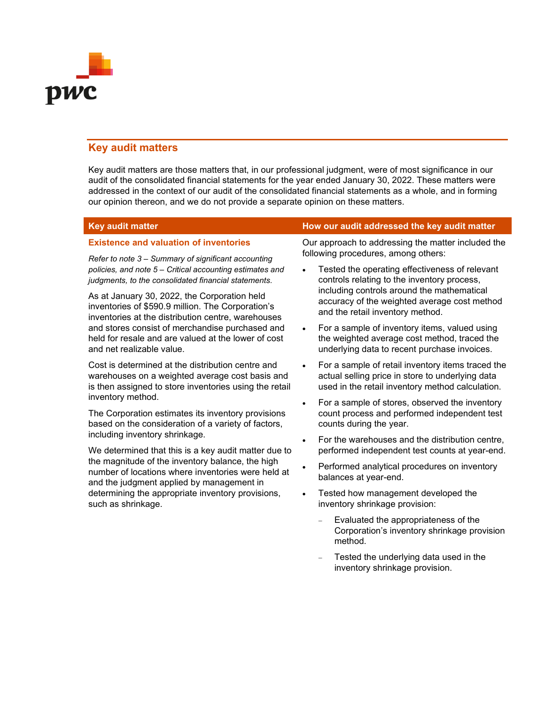

### **Key audit matters**

Key audit matters are those matters that, in our professional judgment, were of most significance in our audit of the consolidated financial statements for the year ended January 30, 2022. These matters were addressed in the context of our audit of the consolidated financial statements as a whole, and in forming our opinion thereon, and we do not provide a separate opinion on these matters.

### **Existence and valuation of inventories**

*Refer to note 3 – Summary of significant accounting policies, and note 5 – Critical accounting estimates and judgments, to the consolidated financial statements.*

As at January 30, 2022, the Corporation held inventories of \$590.9 million. The Corporation's inventories at the distribution centre, warehouses and stores consist of merchandise purchased and held for resale and are valued at the lower of cost and net realizable value.

Cost is determined at the distribution centre and warehouses on a weighted average cost basis and is then assigned to store inventories using the retail inventory method.

The Corporation estimates its inventory provisions based on the consideration of a variety of factors, including inventory shrinkage.

We determined that this is a key audit matter due to the magnitude of the inventory balance, the high number of locations where inventories were held at and the judgment applied by management in determining the appropriate inventory provisions, such as shrinkage.

### **Key audit matter How our audit addressed the key audit matter**

Our approach to addressing the matter included the following procedures, among others:

- Tested the operating effectiveness of relevant controls relating to the inventory process, including controls around the mathematical accuracy of the weighted average cost method and the retail inventory method.
- For a sample of inventory items, valued using the weighted average cost method, traced the underlying data to recent purchase invoices.
- For a sample of retail inventory items traced the actual selling price in store to underlying data used in the retail inventory method calculation.
- For a sample of stores, observed the inventory count process and performed independent test counts during the year.
- For the warehouses and the distribution centre, performed independent test counts at year-end.
- Performed analytical procedures on inventory balances at year-end.
- Tested how management developed the inventory shrinkage provision:
	- Evaluated the appropriateness of the Corporation's inventory shrinkage provision method.
	- Tested the underlying data used in the inventory shrinkage provision.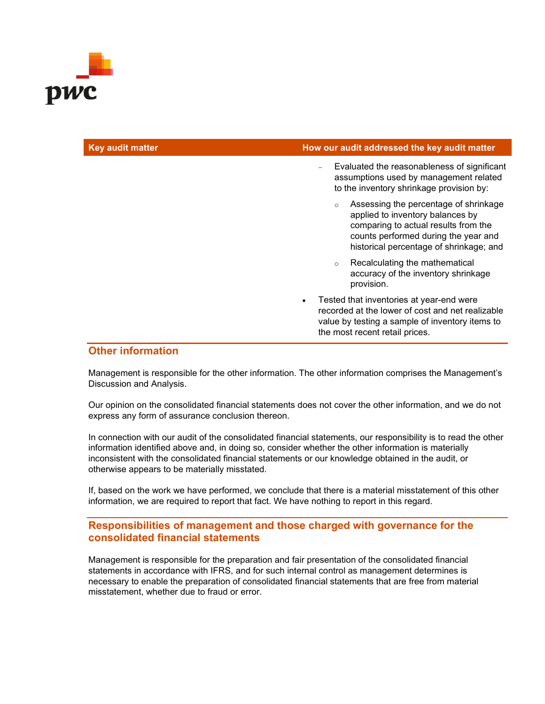

| <b>Key audit matter</b> | How our audit addressed the key audit matter                                                                                                                                                                    |
|-------------------------|-----------------------------------------------------------------------------------------------------------------------------------------------------------------------------------------------------------------|
|                         | Evaluated the reasonableness of significant<br>assumptions used by management related<br>to the inventory shrinkage provision by:                                                                               |
|                         | Assessing the percentage of shrinkage<br>$\circ$<br>applied to inventory balances by<br>comparing to actual results from the<br>counts performed during the year and<br>historical percentage of shrinkage; and |
|                         | Recalculating the mathematical<br>$\circ$<br>accuracy of the inventory shrinkage<br>provision.                                                                                                                  |
|                         | Tested that inventories at year-end were<br>recorded at the lower of cost and net realizable<br>value by testing a sample of inventory items to<br>the most recent retail prices.                               |

### **Other information**

Management is responsible for the other information. The other information comprises the Management's Discussion and Analysis.

Our opinion on the consolidated financial statements does not cover the other information, and we do not express any form of assurance conclusion thereon.

In connection with our audit of the consolidated financial statements, our responsibility is to read the other information identified above and, in doing so, consider whether the other information is materially inconsistent with the consolidated financial statements or our knowledge obtained in the audit, or otherwise appears to be materially misstated.

If, based on the work we have performed, we conclude that there is a material misstatement of this other information, we are required to report that fact. We have nothing to report in this regard.

### **Responsibilities of management and those charged with governance for the consolidated financial statements**

Management is responsible for the preparation and fair presentation of the consolidated financial statements in accordance with IFRS, and for such internal control as management determines is necessary to enable the preparation of consolidated financial statements that are free from material misstatement, whether due to fraud or error.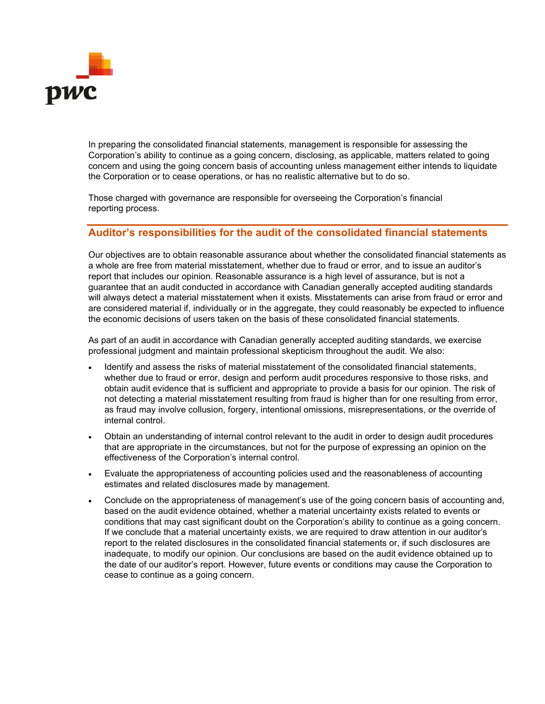

In preparing the consolidated financial statements, management is responsible for assessing the Corporation's ability to continue as a going concern, disclosing, as applicable, matters related to going concern and using the going concern basis of accounting unless management either intends to liquidate the Corporation or to cease operations, or has no realistic alternative but to do so.

Those charged with governance are responsible for overseeing the Corporation's financial reporting process.

### **Auditor's responsibilities for the audit of the consolidated financial statements**

Our objectives are to obtain reasonable assurance about whether the consolidated financial statements as a whole are free from material misstatement, whether due to fraud or error, and to issue an auditor's report that includes our opinion. Reasonable assurance is a high level of assurance, but is not a guarantee that an audit conducted in accordance with Canadian generally accepted auditing standards will always detect a material misstatement when it exists. Misstatements can arise from fraud or error and are considered material if, individually or in the aggregate, they could reasonably be expected to influence the economic decisions of users taken on the basis of these consolidated financial statements.

As part of an audit in accordance with Canadian generally accepted auditing standards, we exercise professional judgment and maintain professional skepticism throughout the audit. We also:

- Identify and assess the risks of material misstatement of the consolidated financial statements, whether due to fraud or error, design and perform audit procedures responsive to those risks, and obtain audit evidence that is sufficient and appropriate to provide a basis for our opinion. The risk of not detecting a material misstatement resulting from fraud is higher than for one resulting from error, as fraud may involve collusion, forgery, intentional omissions, misrepresentations, or the override of internal control.
- Obtain an understanding of internal control relevant to the audit in order to design audit procedures that are appropriate in the circumstances, but not for the purpose of expressing an opinion on the effectiveness of the Corporation's internal control.
- Evaluate the appropriateness of accounting policies used and the reasonableness of accounting estimates and related disclosures made by management.
- Conclude on the appropriateness of management's use of the going concern basis of accounting and, based on the audit evidence obtained, whether a material uncertainty exists related to events or conditions that may cast significant doubt on the Corporation's ability to continue as a going concern. If we conclude that a material uncertainty exists, we are required to draw attention in our auditor's report to the related disclosures in the consolidated financial statements or, if such disclosures are inadequate, to modify our opinion. Our conclusions are based on the audit evidence obtained up to the date of our auditor's report. However, future events or conditions may cause the Corporation to cease to continue as a going concern.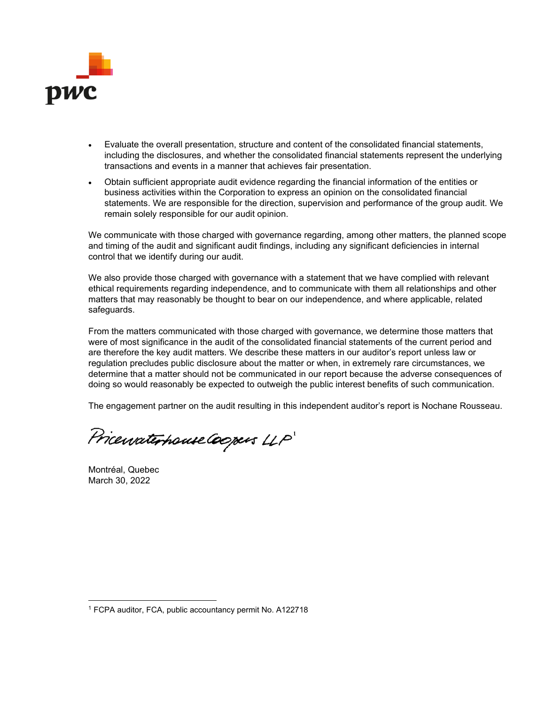

- Evaluate the overall presentation, structure and content of the consolidated financial statements, including the disclosures, and whether the consolidated financial statements represent the underlying transactions and events in a manner that achieves fair presentation.
- Obtain sufficient appropriate audit evidence regarding the financial information of the entities or business activities within the Corporation to express an opinion on the consolidated financial statements. We are responsible for the direction, supervision and performance of the group audit. We remain solely responsible for our audit opinion.

We communicate with those charged with governance regarding, among other matters, the planned scope and timing of the audit and significant audit findings, including any significant deficiencies in internal control that we identify during our audit.

We also provide those charged with governance with a statement that we have complied with relevant ethical requirements regarding independence, and to communicate with them all relationships and other matters that may reasonably be thought to bear on our independence, and where applicable, related safeguards.

From the matters communicated with those charged with governance, we determine those matters that were of most significance in the audit of the consolidated financial statements of the current period and are therefore the key audit matters. We describe these matters in our auditor's report unless law or regulation precludes public disclosure about the matter or when, in extremely rare circumstances, we determine that a matter should not be communicated in our report because the adverse consequences of doing so would reasonably be expected to outweigh the public interest benefits of such communication.

The engagement partner on the audit resulting in this independent auditor's report is Nochane Rousseau.

Pricewaterhouse Coopers LLP

Montréal, Quebec March 30, 2022

<sup>1</sup> FCPA auditor, FCA, public accountancy permit No. A122718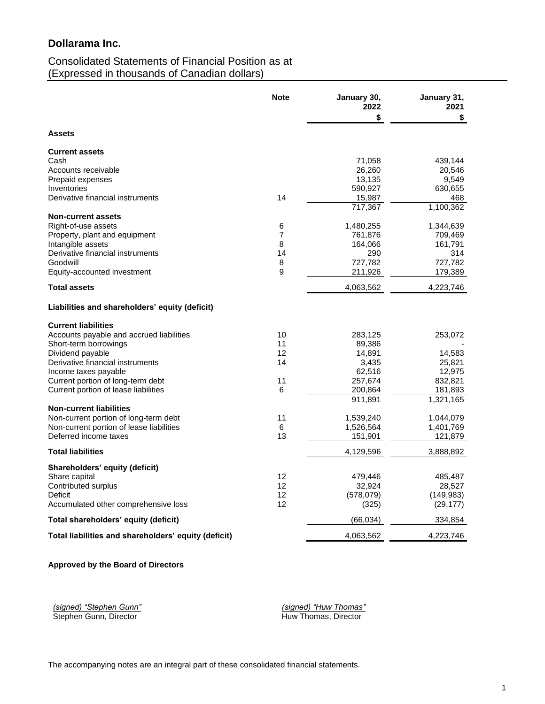# Consolidated Statements of Financial Position as at (Expressed in thousands of Canadian dollars)

|                                                      | <b>Note</b>    | January 30,<br>2022 | January 31,<br>2021 |
|------------------------------------------------------|----------------|---------------------|---------------------|
|                                                      |                | \$                  | \$                  |
| <b>Assets</b>                                        |                |                     |                     |
| <b>Current assets</b>                                |                |                     |                     |
| Cash                                                 |                | 71,058              | 439,144             |
| Accounts receivable                                  |                | 26,260              | 20,546              |
| Prepaid expenses                                     |                | 13,135              | 9,549               |
| Inventories                                          |                | 590,927             | 630,655             |
| Derivative financial instruments                     | 14             | 15,987              | 468                 |
|                                                      |                | 717,367             | 1,100,362           |
| <b>Non-current assets</b>                            |                |                     |                     |
| Right-of-use assets                                  | 6              | 1,480,255           | 1,344,639           |
| Property, plant and equipment                        | $\overline{7}$ | 761,876             | 709,469             |
| Intangible assets                                    | 8              | 164,066             | 161,791             |
| Derivative financial instruments                     | 14             | 290                 | 314                 |
| Goodwill                                             | 8              | 727,782             | 727,782             |
| Equity-accounted investment                          | 9              | 211,926             | 179,389             |
| <b>Total assets</b>                                  |                | 4,063,562           | 4,223,746           |
| Liabilities and shareholders' equity (deficit)       |                |                     |                     |
| <b>Current liabilities</b>                           |                |                     |                     |
| Accounts payable and accrued liabilities             | 10             | 283,125             | 253,072             |
| Short-term borrowings                                | 11             | 89,386              |                     |
| Dividend payable                                     | 12             | 14,891              | 14,583              |
| Derivative financial instruments                     | 14             | 3,435               | 25,821              |
| Income taxes payable                                 |                | 62,516              | 12,975              |
| Current portion of long-term debt                    | 11             | 257,674             | 832,821             |
| Current portion of lease liabilities                 | 6              | 200,864             | 181,893             |
| <b>Non-current liabilities</b>                       |                | 911,891             | 1,321,165           |
| Non-current portion of long-term debt                | 11             | 1,539,240           | 1,044,079           |
| Non-current portion of lease liabilities             | 6              | 1,526,564           | 1,401,769           |
| Deferred income taxes                                | 13             | 151,901             | 121,879             |
| <b>Total liabilities</b>                             |                | 4,129,596           | 3,888,892           |
|                                                      |                |                     |                     |
| Shareholders' equity (deficit)                       |                |                     |                     |
| Share capital                                        | 12             | 479,446             | 485,487             |
| Contributed surplus                                  | 12             | 32,924              | 28,527              |
| Deficit                                              | 12             | (578, 079)          | (149, 983)          |
| Accumulated other comprehensive loss                 | 12             | (325)               | (29, 177)           |
| Total shareholders' equity (deficit)                 |                | (66,034)            | 334,854             |
| Total liabilities and shareholders' equity (deficit) |                | 4,063,562           | 4,223,746           |

**Approved by the Board of Directors**

*(signed) "Stephen Gunn" (signed) "Huw Thomas"* Stephen Gunn, Director **Huw Thomas, Director** Huw Thomas, Director

The accompanying notes are an integral part of these consolidated financial statements.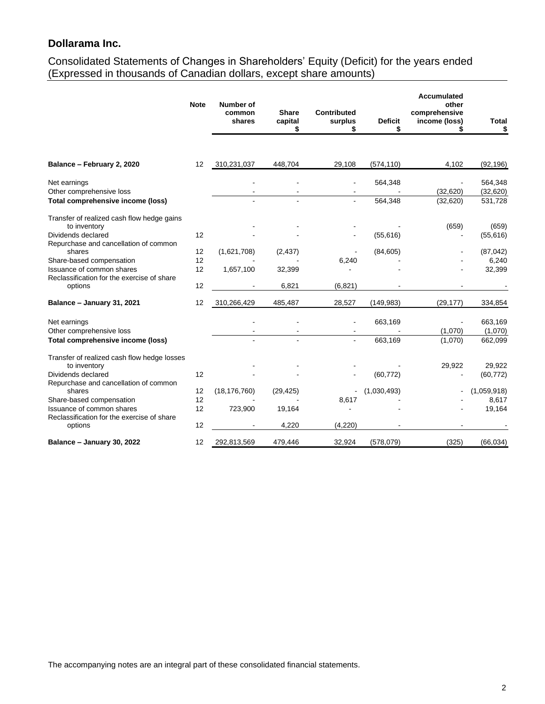Consolidated Statements of Changes in Shareholders' Equity (Deficit) for the years ended (Expressed in thousands of Canadian dollars, except share amounts)

|                                                                         | <b>Note</b> | <b>Number of</b><br>common<br>shares | <b>Share</b><br>capital<br>\$ | <b>Contributed</b><br>surplus<br>\$ | <b>Deficit</b><br>\$ | Accumulated<br>other<br>comprehensive<br>income (loss)<br>\$ | <b>Total</b><br>\$ |
|-------------------------------------------------------------------------|-------------|--------------------------------------|-------------------------------|-------------------------------------|----------------------|--------------------------------------------------------------|--------------------|
|                                                                         |             |                                      |                               |                                     |                      |                                                              |                    |
| Balance - February 2, 2020                                              | 12          | 310,231,037                          | 448,704                       | 29,108                              | (574, 110)           | 4,102                                                        | (92, 196)          |
| Net earnings                                                            |             |                                      |                               |                                     | 564,348              |                                                              | 564,348            |
| Other comprehensive loss                                                |             |                                      |                               |                                     |                      | (32,620)                                                     | (32,620)           |
| Total comprehensive income (loss)                                       |             |                                      |                               |                                     | 564,348              | (32, 620)                                                    | 531,728            |
| Transfer of realized cash flow hedge gains<br>to inventory              |             |                                      |                               |                                     |                      | (659)                                                        | (659)              |
| Dividends declared<br>Repurchase and cancellation of common             | 12          |                                      |                               |                                     | (55, 616)            |                                                              | (55, 616)          |
| shares                                                                  | 12          | (1,621,708)                          | (2, 437)                      |                                     | (84, 605)            |                                                              | (87, 042)          |
| Share-based compensation                                                | 12          |                                      |                               | 6,240                               |                      |                                                              | 6,240              |
| Issuance of common shares<br>Reclassification for the exercise of share | 12          | 1,657,100                            | 32,399                        |                                     |                      |                                                              | 32,399             |
| options                                                                 | 12          |                                      | 6,821                         | (6, 821)                            |                      |                                                              |                    |
| Balance - January 31, 2021                                              | 12          | 310,266,429                          | 485,487                       | 28,527                              | (149, 983)           | (29, 177)                                                    | 334,854            |
| Net earnings                                                            |             |                                      |                               |                                     | 663,169              |                                                              | 663,169            |
| Other comprehensive loss                                                |             |                                      |                               |                                     |                      | (1,070)                                                      | (1,070)            |
| Total comprehensive income (loss)                                       |             |                                      |                               |                                     | 663,169              | (1,070)                                                      | 662,099            |
| Transfer of realized cash flow hedge losses<br>to inventory             |             |                                      |                               |                                     |                      | 29,922                                                       | 29,922             |
| Dividends declared<br>Repurchase and cancellation of common             | 12          |                                      |                               |                                     | (60, 772)            |                                                              | (60, 772)          |
| shares                                                                  | 12          | (18, 176, 760)                       | (29, 425)                     |                                     | (1,030,493)          |                                                              | (1,059,918)        |
| Share-based compensation                                                | 12          |                                      |                               | 8,617                               |                      |                                                              | 8,617              |
| Issuance of common shares<br>Reclassification for the exercise of share | 12          | 723,900                              | 19,164                        |                                     |                      |                                                              | 19,164             |
| options                                                                 | 12          |                                      | 4,220                         | (4,220)                             |                      |                                                              |                    |
| Balance - January 30, 2022                                              | 12          | 292,813,569                          | 479,446                       | 32,924                              | (578, 079)           | (325)                                                        | (66, 034)          |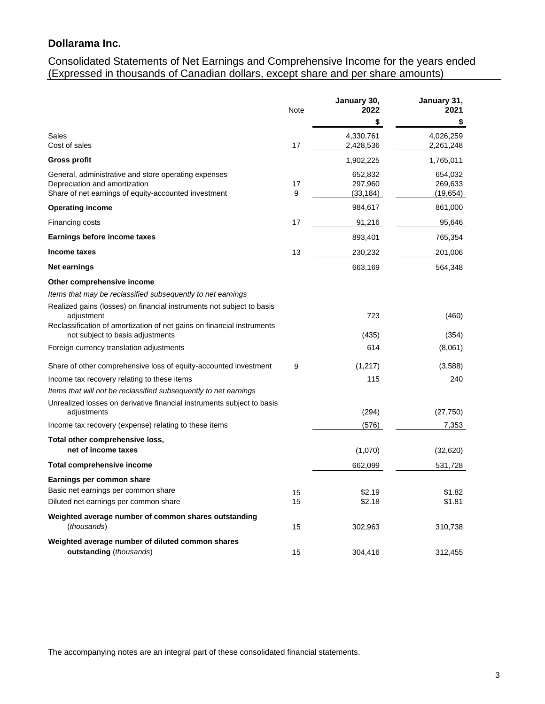Consolidated Statements of Net Earnings and Comprehensive Income for the years ended (Expressed in thousands of Canadian dollars, except share and per share amounts)

|                                                                                                                                               | <b>Note</b> | January 30,<br>2022             | January 31,<br>2021            |
|-----------------------------------------------------------------------------------------------------------------------------------------------|-------------|---------------------------------|--------------------------------|
|                                                                                                                                               |             | \$                              | \$                             |
| Sales<br>Cost of sales                                                                                                                        | 17          | 4,330,761<br>2,428,536          | 4,026,259<br>2,261,248         |
| Gross profit                                                                                                                                  |             | 1,902,225                       | 1,765,011                      |
| General, administrative and store operating expenses<br>Depreciation and amortization<br>Share of net earnings of equity-accounted investment | 17<br>9     | 652,832<br>297,960<br>(33, 184) | 654,032<br>269,633<br>(19,654) |
| <b>Operating income</b>                                                                                                                       |             | 984,617                         | 861,000                        |
| Financing costs                                                                                                                               | 17          | 91,216                          | 95,646                         |
| Earnings before income taxes                                                                                                                  |             | 893,401                         | 765,354                        |
| Income taxes                                                                                                                                  | 13          | 230,232                         | 201,006                        |
| Net earnings                                                                                                                                  |             | 663,169                         | 564,348                        |
| Other comprehensive income                                                                                                                    |             |                                 |                                |
| Items that may be reclassified subsequently to net earnings                                                                                   |             |                                 |                                |
| Realized gains (losses) on financial instruments not subject to basis<br>adjustment                                                           |             | 723                             | (460)                          |
| Reclassification of amortization of net gains on financial instruments<br>not subject to basis adjustments                                    |             | (435)                           | (354)                          |
| Foreign currency translation adjustments                                                                                                      |             | 614                             | (8,061)                        |
| Share of other comprehensive loss of equity-accounted investment                                                                              | 9           | (1,217)                         | (3,588)                        |
| Income tax recovery relating to these items                                                                                                   |             | 115                             | 240                            |
| Items that will not be reclassified subsequently to net earnings                                                                              |             |                                 |                                |
| Unrealized losses on derivative financial instruments subject to basis<br>adjustments                                                         |             | (294)                           | (27, 750)                      |
| Income tax recovery (expense) relating to these items                                                                                         |             | (576)                           | 7,353                          |
| Total other comprehensive loss,                                                                                                               |             |                                 |                                |
| net of income taxes                                                                                                                           |             | (1,070)                         | (32,620)                       |
| <b>Total comprehensive income</b>                                                                                                             |             | 662,099                         | 531,728                        |
| Earnings per common share                                                                                                                     |             |                                 |                                |
| Basic net earnings per common share                                                                                                           | 15          | \$2.19                          | \$1.82                         |
| Diluted net earnings per common share                                                                                                         | 15          | \$2.18                          | \$1.81                         |
| Weighted average number of common shares outstanding<br>(thousands)                                                                           | 15          | 302,963                         | 310,738                        |
| Weighted average number of diluted common shares                                                                                              |             |                                 |                                |
| outstanding (thousands)                                                                                                                       | 15          | 304,416                         | 312,455                        |

The accompanying notes are an integral part of these consolidated financial statements.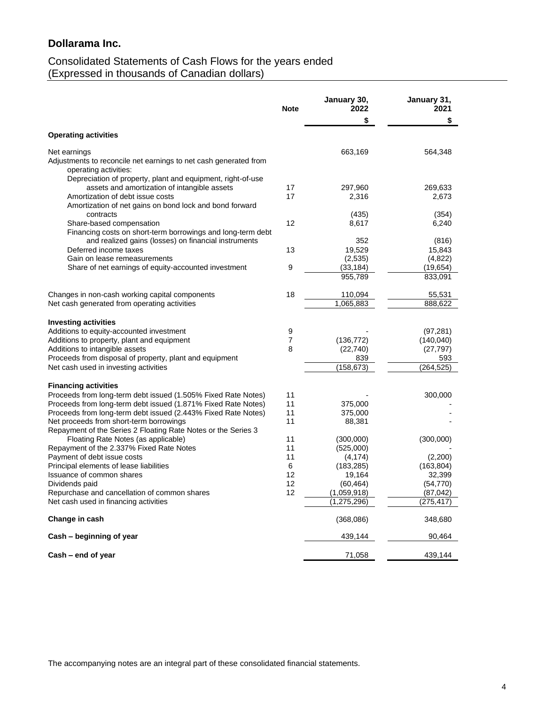# Consolidated Statements of Cash Flows for the years ended (Expressed in thousands of Canadian dollars)

|                                                                                           | <b>Note</b> | January 30,<br>2022    | January 31,<br>2021   |
|-------------------------------------------------------------------------------------------|-------------|------------------------|-----------------------|
|                                                                                           |             | \$                     | \$                    |
| <b>Operating activities</b>                                                               |             |                        |                       |
| Net earnings                                                                              |             | 663,169                | 564,348               |
| Adjustments to reconcile net earnings to net cash generated from<br>operating activities: |             |                        |                       |
| Depreciation of property, plant and equipment, right-of-use                               |             |                        |                       |
| assets and amortization of intangible assets<br>Amortization of debt issue costs          | 17<br>17    | 297,960<br>2,316       | 269,633<br>2,673      |
| Amortization of net gains on bond lock and bond forward                                   |             |                        |                       |
| contracts                                                                                 |             | (435)                  | (354)                 |
| Share-based compensation                                                                  | 12          | 8,617                  | 6,240                 |
| Financing costs on short-term borrowings and long-term debt                               |             |                        |                       |
| and realized gains (losses) on financial instruments                                      |             | 352                    | (816)                 |
| Deferred income taxes                                                                     | 13          | 19,529                 | 15,843                |
| Gain on lease remeasurements                                                              |             | (2,535)                | (4, 822)              |
| Share of net earnings of equity-accounted investment                                      | 9           | (33, 184)              | (19, 654)             |
|                                                                                           |             | 955,789                | 833,091               |
| Changes in non-cash working capital components                                            | 18          | 110,094                | 55,531                |
| Net cash generated from operating activities                                              |             | 1,065,883              | 888,622               |
| <b>Investing activities</b>                                                               |             |                        |                       |
| Additions to equity-accounted investment                                                  | 9           |                        | (97, 281)             |
| Additions to property, plant and equipment                                                | 7           | (136, 772)             | (140, 040)            |
| Additions to intangible assets                                                            | 8           | (22, 740)              | (27, 797)             |
| Proceeds from disposal of property, plant and equipment                                   |             | 839                    | 593                   |
| Net cash used in investing activities                                                     |             | (158, 673)             | (264, 525)            |
| <b>Financing activities</b>                                                               |             |                        |                       |
| Proceeds from long-term debt issued (1.505% Fixed Rate Notes)                             | 11          |                        | 300,000               |
| Proceeds from long-term debt issued (1.871% Fixed Rate Notes)                             | 11          | 375,000                |                       |
| Proceeds from long-term debt issued (2.443% Fixed Rate Notes)                             | 11          | 375,000                |                       |
| Net proceeds from short-term borrowings                                                   | 11          | 88,381                 |                       |
| Repayment of the Series 2 Floating Rate Notes or the Series 3                             |             |                        |                       |
| Floating Rate Notes (as applicable)                                                       | 11          | (300,000)              | (300,000)             |
| Repayment of the 2.337% Fixed Rate Notes<br>Payment of debt issue costs                   | 11<br>11    | (525,000)              |                       |
| Principal elements of lease liabilities                                                   | 6           | (4, 174)<br>(183, 285) | (2,200)<br>(163, 804) |
| Issuance of common shares                                                                 | 12          | 19,164                 | 32,399                |
| Dividends paid                                                                            | 12          | (60, 464)              | (54, 770)             |
| Repurchase and cancellation of common shares                                              | 12          | (1,059,918)            | (87, 042)             |
| Net cash used in financing activities                                                     |             | (1,275,296)            | (275, 417)            |
| Change in cash                                                                            |             | (368,086)              | 348,680               |
| Cash - beginning of year                                                                  |             | 439,144                | 90,464                |
| Cash - end of year                                                                        |             | 71,058                 | 439,144               |

The accompanying notes are an integral part of these consolidated financial statements.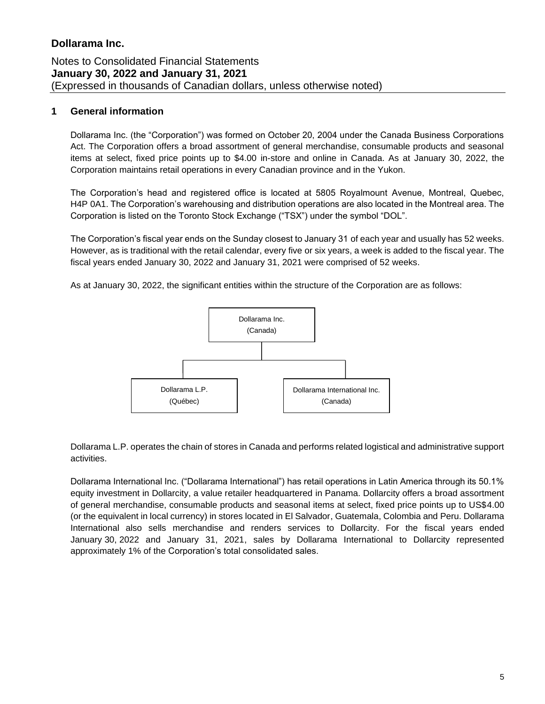# Notes to Consolidated Financial Statements **January 30, 2022 and January 31, 2021**  (Expressed in thousands of Canadian dollars, unless otherwise noted)

### **1 General information**

Dollarama Inc. (the "Corporation") was formed on October 20, 2004 under the Canada Business Corporations Act. The Corporation offers a broad assortment of general merchandise, consumable products and seasonal items at select, fixed price points up to \$4.00 in-store and online in Canada. As at January 30, 2022, the Corporation maintains retail operations in every Canadian province and in the Yukon.

The Corporation's head and registered office is located at 5805 Royalmount Avenue, Montreal, Quebec, H4P 0A1. The Corporation's warehousing and distribution operations are also located in the Montreal area. The Corporation is listed on the Toronto Stock Exchange ("TSX") under the symbol "DOL".

The Corporation's fiscal year ends on the Sunday closest to January 31 of each year and usually has 52 weeks. However, as is traditional with the retail calendar, every five or six years, a week is added to the fiscal year. The fiscal years ended January 30, 2022 and January 31, 2021 were comprised of 52 weeks.

As at January 30, 2022, the significant entities within the structure of the Corporation are as follows:



Dollarama L.P. operates the chain of stores in Canada and performs related logistical and administrative support activities.

Dollarama International Inc. ("Dollarama International") has retail operations in Latin America through its 50.1% equity investment in Dollarcity, a value retailer headquartered in Panama. Dollarcity offers a broad assortment of general merchandise, consumable products and seasonal items at select, fixed price points up to US\$4.00 (or the equivalent in local currency) in stores located in El Salvador, Guatemala, Colombia and Peru. Dollarama International also sells merchandise and renders services to Dollarcity. For the fiscal years ended January 30, 2022 and January 31, 2021, sales by Dollarama International to Dollarcity represented approximately 1% of the Corporation's total consolidated sales.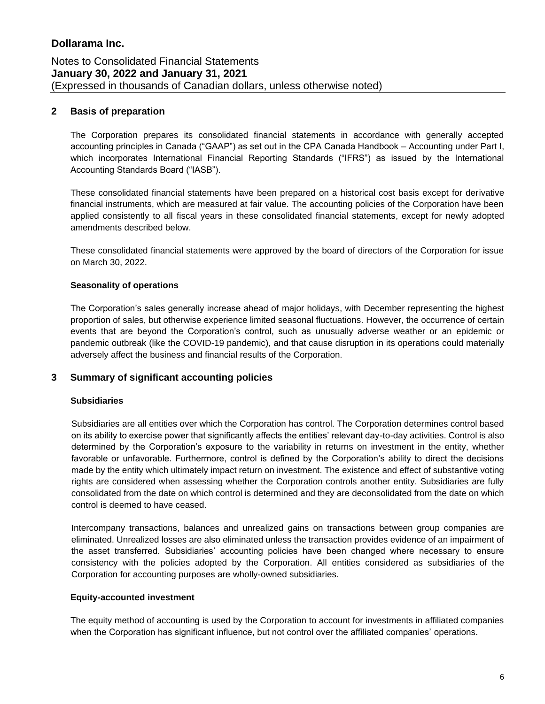### **2 Basis of preparation**

The Corporation prepares its consolidated financial statements in accordance with generally accepted accounting principles in Canada ("GAAP") as set out in the CPA Canada Handbook – Accounting under Part I, which incorporates International Financial Reporting Standards ("IFRS") as issued by the International Accounting Standards Board ("IASB").

These consolidated financial statements have been prepared on a historical cost basis except for derivative financial instruments, which are measured at fair value. The accounting policies of the Corporation have been applied consistently to all fiscal years in these consolidated financial statements, except for newly adopted amendments described below.

These consolidated financial statements were approved by the board of directors of the Corporation for issue on March 30, 2022.

### **Seasonality of operations**

The Corporation's sales generally increase ahead of major holidays, with December representing the highest proportion of sales, but otherwise experience limited seasonal fluctuations. However, the occurrence of certain events that are beyond the Corporation's control, such as unusually adverse weather or an epidemic or pandemic outbreak (like the COVID-19 pandemic), and that cause disruption in its operations could materially adversely affect the business and financial results of the Corporation.

### **3 Summary of significant accounting policies**

### **Subsidiaries**

Subsidiaries are all entities over which the Corporation has control. The Corporation determines control based on its ability to exercise power that significantly affects the entities' relevant day-to-day activities. Control is also determined by the Corporation's exposure to the variability in returns on investment in the entity, whether favorable or unfavorable. Furthermore, control is defined by the Corporation's ability to direct the decisions made by the entity which ultimately impact return on investment. The existence and effect of substantive voting rights are considered when assessing whether the Corporation controls another entity. Subsidiaries are fully consolidated from the date on which control is determined and they are deconsolidated from the date on which control is deemed to have ceased.

Intercompany transactions, balances and unrealized gains on transactions between group companies are eliminated. Unrealized losses are also eliminated unless the transaction provides evidence of an impairment of the asset transferred. Subsidiaries' accounting policies have been changed where necessary to ensure consistency with the policies adopted by the Corporation. All entities considered as subsidiaries of the Corporation for accounting purposes are wholly-owned subsidiaries.

### **Equity-accounted investment**

The equity method of accounting is used by the Corporation to account for investments in affiliated companies when the Corporation has significant influence, but not control over the affiliated companies' operations.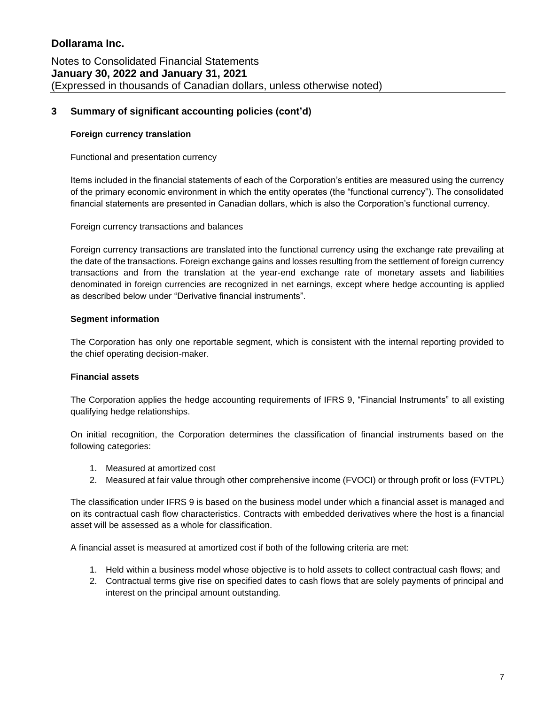### **3 Summary of significant accounting policies (cont'd)**

### **Foreign currency translation**

Functional and presentation currency

Items included in the financial statements of each of the Corporation's entities are measured using the currency of the primary economic environment in which the entity operates (the "functional currency"). The consolidated financial statements are presented in Canadian dollars, which is also the Corporation's functional currency.

Foreign currency transactions and balances

Foreign currency transactions are translated into the functional currency using the exchange rate prevailing at the date of the transactions. Foreign exchange gains and losses resulting from the settlement of foreign currency transactions and from the translation at the year-end exchange rate of monetary assets and liabilities denominated in foreign currencies are recognized in net earnings, except where hedge accounting is applied as described below under "Derivative financial instruments".

### **Segment information**

The Corporation has only one reportable segment, which is consistent with the internal reporting provided to the chief operating decision-maker.

### **Financial assets**

The Corporation applies the hedge accounting requirements of IFRS 9, "Financial Instruments" to all existing qualifying hedge relationships.

On initial recognition, the Corporation determines the classification of financial instruments based on the following categories:

- 1. Measured at amortized cost
- 2. Measured at fair value through other comprehensive income (FVOCI) or through profit or loss (FVTPL)

The classification under IFRS 9 is based on the business model under which a financial asset is managed and on its contractual cash flow characteristics. Contracts with embedded derivatives where the host is a financial asset will be assessed as a whole for classification.

A financial asset is measured at amortized cost if both of the following criteria are met:

- 1. Held within a business model whose objective is to hold assets to collect contractual cash flows; and
- 2. Contractual terms give rise on specified dates to cash flows that are solely payments of principal and interest on the principal amount outstanding.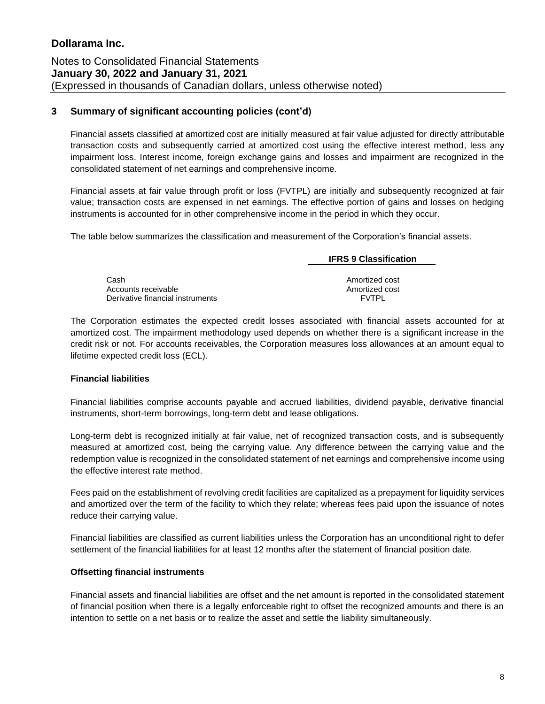Notes to Consolidated Financial Statements **January 30, 2022 and January 31, 2021**  (Expressed in thousands of Canadian dollars, unless otherwise noted)

### **3 Summary of significant accounting policies (cont'd)**

Financial assets classified at amortized cost are initially measured at fair value adjusted for directly attributable transaction costs and subsequently carried at amortized cost using the effective interest method, less any impairment loss. Interest income, foreign exchange gains and losses and impairment are recognized in the consolidated statement of net earnings and comprehensive income.

Financial assets at fair value through profit or loss (FVTPL) are initially and subsequently recognized at fair value; transaction costs are expensed in net earnings. The effective portion of gains and losses on hedging instruments is accounted for in other comprehensive income in the period in which they occur.

The table below summarizes the classification and measurement of the Corporation's financial assets.

|                                  | <b>IFRS 9 Classification</b> |
|----------------------------------|------------------------------|
|                                  |                              |
| Cash                             | Amortized cost               |
| Accounts receivable              | Amortized cost               |
| Derivative financial instruments | <b>FVTPI</b>                 |

The Corporation estimates the expected credit losses associated with financial assets accounted for at amortized cost. The impairment methodology used depends on whether there is a significant increase in the credit risk or not. For accounts receivables, the Corporation measures loss allowances at an amount equal to lifetime expected credit loss (ECL).

### **Financial liabilities**

Financial liabilities comprise accounts payable and accrued liabilities, dividend payable, derivative financial instruments, short-term borrowings, long-term debt and lease obligations.

Long-term debt is recognized initially at fair value, net of recognized transaction costs, and is subsequently measured at amortized cost, being the carrying value. Any difference between the carrying value and the redemption value is recognized in the consolidated statement of net earnings and comprehensive income using the effective interest rate method.

Fees paid on the establishment of revolving credit facilities are capitalized as a prepayment for liquidity services and amortized over the term of the facility to which they relate; whereas fees paid upon the issuance of notes reduce their carrying value.

Financial liabilities are classified as current liabilities unless the Corporation has an unconditional right to defer settlement of the financial liabilities for at least 12 months after the statement of financial position date.

### **Offsetting financial instruments**

Financial assets and financial liabilities are offset and the net amount is reported in the consolidated statement of financial position when there is a legally enforceable right to offset the recognized amounts and there is an intention to settle on a net basis or to realize the asset and settle the liability simultaneously.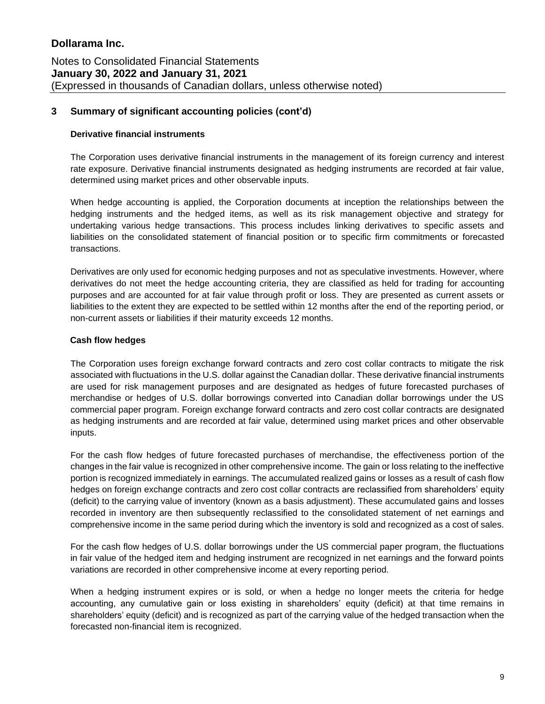### **3 Summary of significant accounting policies (cont'd)**

### **Derivative financial instruments**

The Corporation uses derivative financial instruments in the management of its foreign currency and interest rate exposure. Derivative financial instruments designated as hedging instruments are recorded at fair value, determined using market prices and other observable inputs.

When hedge accounting is applied, the Corporation documents at inception the relationships between the hedging instruments and the hedged items, as well as its risk management objective and strategy for undertaking various hedge transactions. This process includes linking derivatives to specific assets and liabilities on the consolidated statement of financial position or to specific firm commitments or forecasted transactions.

Derivatives are only used for economic hedging purposes and not as speculative investments. However, where derivatives do not meet the hedge accounting criteria, they are classified as held for trading for accounting purposes and are accounted for at fair value through profit or loss. They are presented as current assets or liabilities to the extent they are expected to be settled within 12 months after the end of the reporting period, or non-current assets or liabilities if their maturity exceeds 12 months.

### **Cash flow hedges**

The Corporation uses foreign exchange forward contracts and zero cost collar contracts to mitigate the risk associated with fluctuations in the U.S. dollar against the Canadian dollar. These derivative financial instruments are used for risk management purposes and are designated as hedges of future forecasted purchases of merchandise or hedges of U.S. dollar borrowings converted into Canadian dollar borrowings under the US commercial paper program. Foreign exchange forward contracts and zero cost collar contracts are designated as hedging instruments and are recorded at fair value, determined using market prices and other observable inputs.

For the cash flow hedges of future forecasted purchases of merchandise, the effectiveness portion of the changes in the fair value is recognized in other comprehensive income. The gain or loss relating to the ineffective portion is recognized immediately in earnings. The accumulated realized gains or losses as a result of cash flow hedges on foreign exchange contracts and zero cost collar contracts are reclassified from shareholders' equity (deficit) to the carrying value of inventory (known as a basis adjustment). These accumulated gains and losses recorded in inventory are then subsequently reclassified to the consolidated statement of net earnings and comprehensive income in the same period during which the inventory is sold and recognized as a cost of sales.

For the cash flow hedges of U.S. dollar borrowings under the US commercial paper program, the fluctuations in fair value of the hedged item and hedging instrument are recognized in net earnings and the forward points variations are recorded in other comprehensive income at every reporting period.

When a hedging instrument expires or is sold, or when a hedge no longer meets the criteria for hedge accounting, any cumulative gain or loss existing in shareholders' equity (deficit) at that time remains in shareholders' equity (deficit) and is recognized as part of the carrying value of the hedged transaction when the forecasted non-financial item is recognized.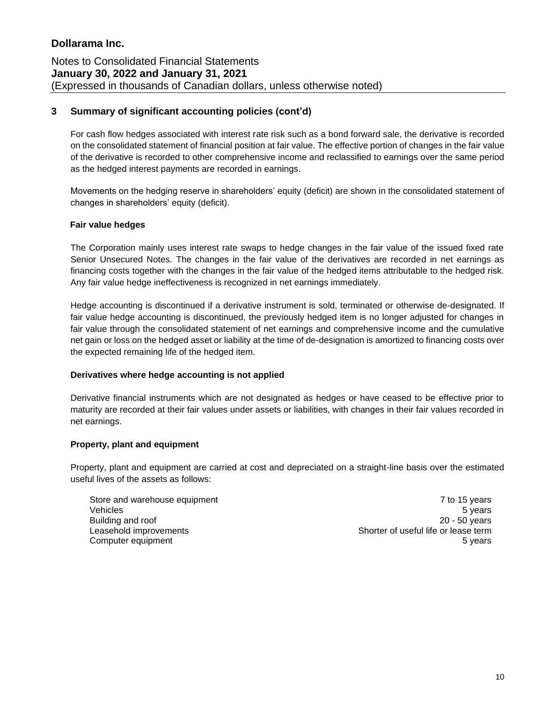Notes to Consolidated Financial Statements **January 30, 2022 and January 31, 2021**  (Expressed in thousands of Canadian dollars, unless otherwise noted)

### **3 Summary of significant accounting policies (cont'd)**

For cash flow hedges associated with interest rate risk such as a bond forward sale, the derivative is recorded on the consolidated statement of financial position at fair value. The effective portion of changes in the fair value of the derivative is recorded to other comprehensive income and reclassified to earnings over the same period as the hedged interest payments are recorded in earnings.

Movements on the hedging reserve in shareholders' equity (deficit) are shown in the consolidated statement of changes in shareholders' equity (deficit).

### **Fair value hedges**

The Corporation mainly uses interest rate swaps to hedge changes in the fair value of the issued fixed rate Senior Unsecured Notes. The changes in the fair value of the derivatives are recorded in net earnings as financing costs together with the changes in the fair value of the hedged items attributable to the hedged risk. Any fair value hedge ineffectiveness is recognized in net earnings immediately.

Hedge accounting is discontinued if a derivative instrument is sold, terminated or otherwise de-designated. If fair value hedge accounting is discontinued, the previously hedged item is no longer adjusted for changes in fair value through the consolidated statement of net earnings and comprehensive income and the cumulative net gain or loss on the hedged asset or liability at the time of de-designation is amortized to financing costs over the expected remaining life of the hedged item.

### **Derivatives where hedge accounting is not applied**

Derivative financial instruments which are not designated as hedges or have ceased to be effective prior to maturity are recorded at their fair values under assets or liabilities, with changes in their fair values recorded in net earnings.

### **Property, plant and equipment**

Property, plant and equipment are carried at cost and depreciated on a straight-line basis over the estimated useful lives of the assets as follows:

| Store and warehouse equipment | 7 to 15 years                        |
|-------------------------------|--------------------------------------|
| <b>Vehicles</b>               | 5 years                              |
| Building and roof             | 20 - 50 years                        |
| Leasehold improvements        | Shorter of useful life or lease term |
| Computer equipment            | 5 years                              |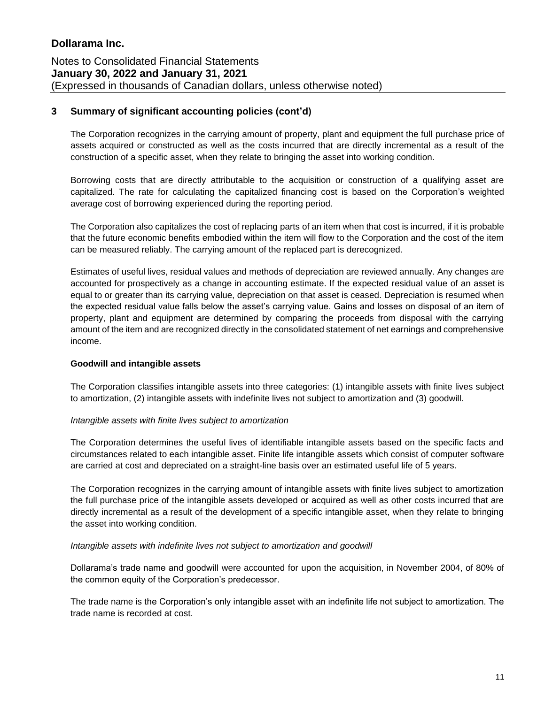### **3 Summary of significant accounting policies (cont'd)**

The Corporation recognizes in the carrying amount of property, plant and equipment the full purchase price of assets acquired or constructed as well as the costs incurred that are directly incremental as a result of the construction of a specific asset, when they relate to bringing the asset into working condition.

Borrowing costs that are directly attributable to the acquisition or construction of a qualifying asset are capitalized. The rate for calculating the capitalized financing cost is based on the Corporation's weighted average cost of borrowing experienced during the reporting period.

The Corporation also capitalizes the cost of replacing parts of an item when that cost is incurred, if it is probable that the future economic benefits embodied within the item will flow to the Corporation and the cost of the item can be measured reliably. The carrying amount of the replaced part is derecognized.

Estimates of useful lives, residual values and methods of depreciation are reviewed annually. Any changes are accounted for prospectively as a change in accounting estimate. If the expected residual value of an asset is equal to or greater than its carrying value, depreciation on that asset is ceased. Depreciation is resumed when the expected residual value falls below the asset's carrying value. Gains and losses on disposal of an item of property, plant and equipment are determined by comparing the proceeds from disposal with the carrying amount of the item and are recognized directly in the consolidated statement of net earnings and comprehensive income.

### **Goodwill and intangible assets**

The Corporation classifies intangible assets into three categories: (1) intangible assets with finite lives subject to amortization, (2) intangible assets with indefinite lives not subject to amortization and (3) goodwill.

### *Intangible assets with finite lives subject to amortization*

The Corporation determines the useful lives of identifiable intangible assets based on the specific facts and circumstances related to each intangible asset. Finite life intangible assets which consist of computer software are carried at cost and depreciated on a straight-line basis over an estimated useful life of 5 years.

The Corporation recognizes in the carrying amount of intangible assets with finite lives subject to amortization the full purchase price of the intangible assets developed or acquired as well as other costs incurred that are directly incremental as a result of the development of a specific intangible asset, when they relate to bringing the asset into working condition.

### *Intangible assets with indefinite lives not subject to amortization and goodwill*

Dollarama's trade name and goodwill were accounted for upon the acquisition, in November 2004, of 80% of the common equity of the Corporation's predecessor.

The trade name is the Corporation's only intangible asset with an indefinite life not subject to amortization. The trade name is recorded at cost.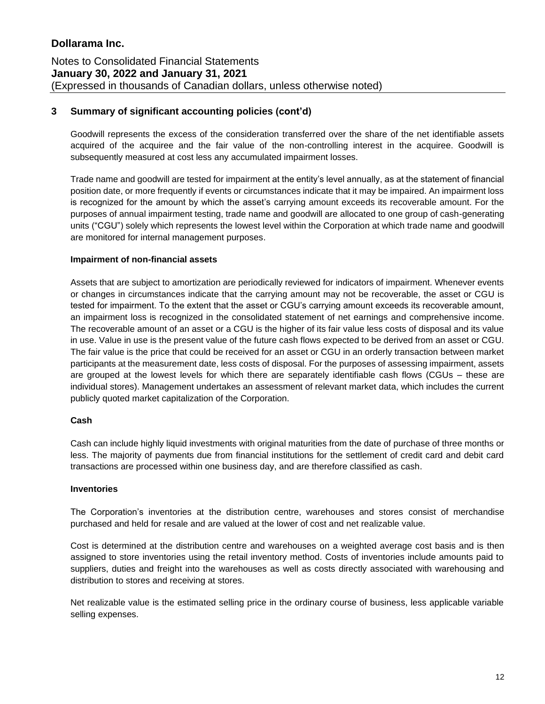### **3 Summary of significant accounting policies (cont'd)**

Goodwill represents the excess of the consideration transferred over the share of the net identifiable assets acquired of the acquiree and the fair value of the non-controlling interest in the acquiree. Goodwill is subsequently measured at cost less any accumulated impairment losses.

Trade name and goodwill are tested for impairment at the entity's level annually, as at the statement of financial position date, or more frequently if events or circumstances indicate that it may be impaired. An impairment loss is recognized for the amount by which the asset's carrying amount exceeds its recoverable amount. For the purposes of annual impairment testing, trade name and goodwill are allocated to one group of cash-generating units ("CGU") solely which represents the lowest level within the Corporation at which trade name and goodwill are monitored for internal management purposes.

### **Impairment of non-financial assets**

Assets that are subject to amortization are periodically reviewed for indicators of impairment. Whenever events or changes in circumstances indicate that the carrying amount may not be recoverable, the asset or CGU is tested for impairment. To the extent that the asset or CGU's carrying amount exceeds its recoverable amount, an impairment loss is recognized in the consolidated statement of net earnings and comprehensive income. The recoverable amount of an asset or a CGU is the higher of its fair value less costs of disposal and its value in use. Value in use is the present value of the future cash flows expected to be derived from an asset or CGU. The fair value is the price that could be received for an asset or CGU in an orderly transaction between market participants at the measurement date, less costs of disposal. For the purposes of assessing impairment, assets are grouped at the lowest levels for which there are separately identifiable cash flows (CGUs – these are individual stores). Management undertakes an assessment of relevant market data, which includes the current publicly quoted market capitalization of the Corporation.

### **Cash**

Cash can include highly liquid investments with original maturities from the date of purchase of three months or less. The majority of payments due from financial institutions for the settlement of credit card and debit card transactions are processed within one business day, and are therefore classified as cash.

### **Inventories**

The Corporation's inventories at the distribution centre, warehouses and stores consist of merchandise purchased and held for resale and are valued at the lower of cost and net realizable value.

Cost is determined at the distribution centre and warehouses on a weighted average cost basis and is then assigned to store inventories using the retail inventory method. Costs of inventories include amounts paid to suppliers, duties and freight into the warehouses as well as costs directly associated with warehousing and distribution to stores and receiving at stores.

Net realizable value is the estimated selling price in the ordinary course of business, less applicable variable selling expenses.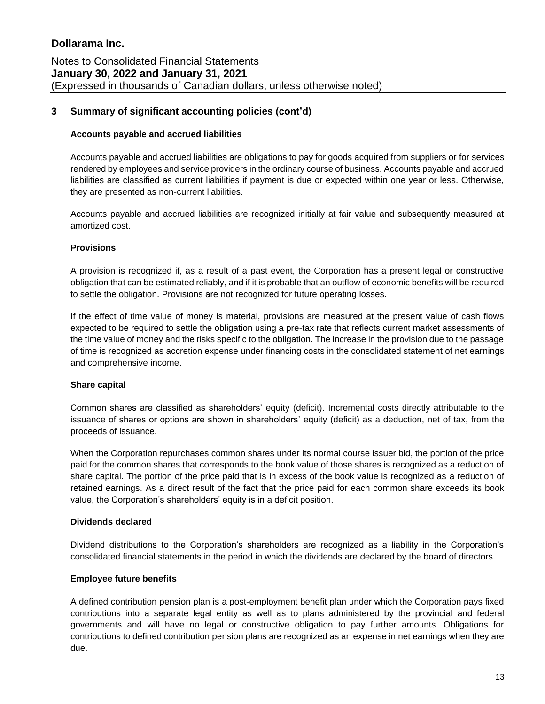### **3 Summary of significant accounting policies (cont'd)**

### **Accounts payable and accrued liabilities**

Accounts payable and accrued liabilities are obligations to pay for goods acquired from suppliers or for services rendered by employees and service providers in the ordinary course of business. Accounts payable and accrued liabilities are classified as current liabilities if payment is due or expected within one year or less. Otherwise, they are presented as non-current liabilities.

Accounts payable and accrued liabilities are recognized initially at fair value and subsequently measured at amortized cost.

### **Provisions**

A provision is recognized if, as a result of a past event, the Corporation has a present legal or constructive obligation that can be estimated reliably, and if it is probable that an outflow of economic benefits will be required to settle the obligation. Provisions are not recognized for future operating losses.

If the effect of time value of money is material, provisions are measured at the present value of cash flows expected to be required to settle the obligation using a pre-tax rate that reflects current market assessments of the time value of money and the risks specific to the obligation. The increase in the provision due to the passage of time is recognized as accretion expense under financing costs in the consolidated statement of net earnings and comprehensive income.

### **Share capital**

Common shares are classified as shareholders' equity (deficit). Incremental costs directly attributable to the issuance of shares or options are shown in shareholders' equity (deficit) as a deduction, net of tax, from the proceeds of issuance.

When the Corporation repurchases common shares under its normal course issuer bid, the portion of the price paid for the common shares that corresponds to the book value of those shares is recognized as a reduction of share capital. The portion of the price paid that is in excess of the book value is recognized as a reduction of retained earnings. As a direct result of the fact that the price paid for each common share exceeds its book value, the Corporation's shareholders' equity is in a deficit position.

### **Dividends declared**

Dividend distributions to the Corporation's shareholders are recognized as a liability in the Corporation's consolidated financial statements in the period in which the dividends are declared by the board of directors.

### **Employee future benefits**

A defined contribution pension plan is a post-employment benefit plan under which the Corporation pays fixed contributions into a separate legal entity as well as to plans administered by the provincial and federal governments and will have no legal or constructive obligation to pay further amounts. Obligations for contributions to defined contribution pension plans are recognized as an expense in net earnings when they are due.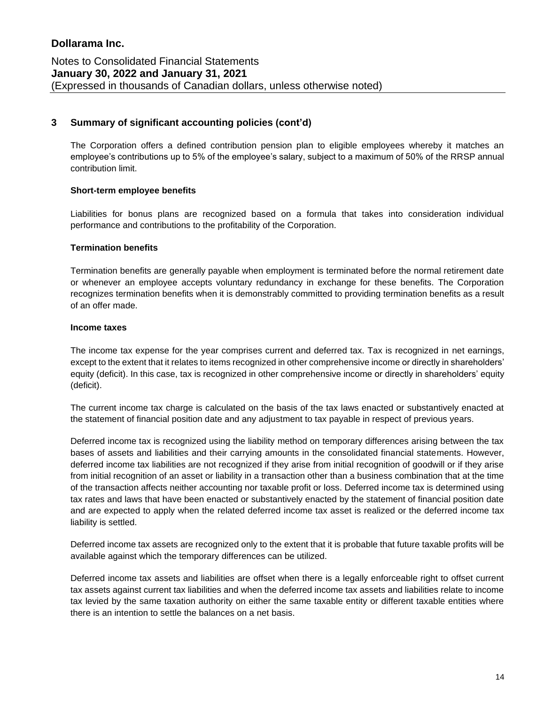### **3 Summary of significant accounting policies (cont'd)**

The Corporation offers a defined contribution pension plan to eligible employees whereby it matches an employee's contributions up to 5% of the employee's salary, subject to a maximum of 50% of the RRSP annual contribution limit.

### **Short-term employee benefits**

Liabilities for bonus plans are recognized based on a formula that takes into consideration individual performance and contributions to the profitability of the Corporation.

### **Termination benefits**

Termination benefits are generally payable when employment is terminated before the normal retirement date or whenever an employee accepts voluntary redundancy in exchange for these benefits. The Corporation recognizes termination benefits when it is demonstrably committed to providing termination benefits as a result of an offer made.

### **Income taxes**

The income tax expense for the year comprises current and deferred tax. Tax is recognized in net earnings, except to the extent that it relates to items recognized in other comprehensive income or directly in shareholders' equity (deficit). In this case, tax is recognized in other comprehensive income or directly in shareholders' equity (deficit).

The current income tax charge is calculated on the basis of the tax laws enacted or substantively enacted at the statement of financial position date and any adjustment to tax payable in respect of previous years.

Deferred income tax is recognized using the liability method on temporary differences arising between the tax bases of assets and liabilities and their carrying amounts in the consolidated financial statements. However, deferred income tax liabilities are not recognized if they arise from initial recognition of goodwill or if they arise from initial recognition of an asset or liability in a transaction other than a business combination that at the time of the transaction affects neither accounting nor taxable profit or loss. Deferred income tax is determined using tax rates and laws that have been enacted or substantively enacted by the statement of financial position date and are expected to apply when the related deferred income tax asset is realized or the deferred income tax liability is settled.

Deferred income tax assets are recognized only to the extent that it is probable that future taxable profits will be available against which the temporary differences can be utilized.

Deferred income tax assets and liabilities are offset when there is a legally enforceable right to offset current tax assets against current tax liabilities and when the deferred income tax assets and liabilities relate to income tax levied by the same taxation authority on either the same taxable entity or different taxable entities where there is an intention to settle the balances on a net basis.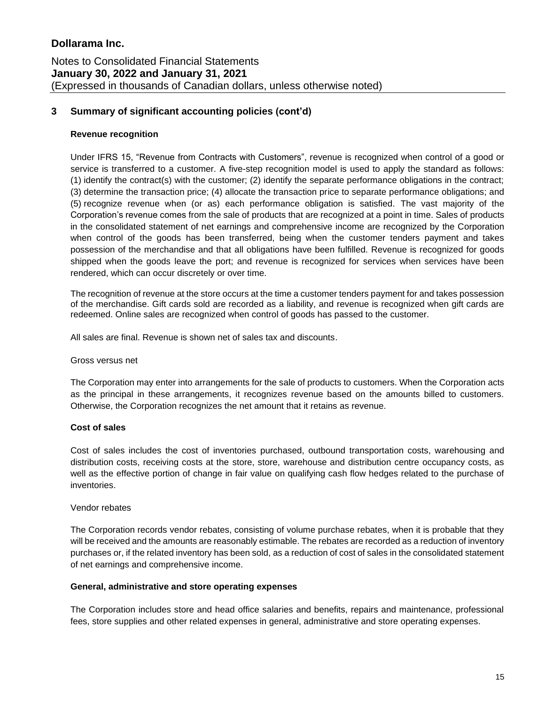### **3 Summary of significant accounting policies (cont'd)**

### **Revenue recognition**

Under IFRS 15, "Revenue from Contracts with Customers", revenue is recognized when control of a good or service is transferred to a customer. A five-step recognition model is used to apply the standard as follows: (1) identify the contract(s) with the customer; (2) identify the separate performance obligations in the contract; (3) determine the transaction price; (4) allocate the transaction price to separate performance obligations; and (5) recognize revenue when (or as) each performance obligation is satisfied. The vast majority of the Corporation's revenue comes from the sale of products that are recognized at a point in time. Sales of products in the consolidated statement of net earnings and comprehensive income are recognized by the Corporation when control of the goods has been transferred, being when the customer tenders payment and takes possession of the merchandise and that all obligations have been fulfilled. Revenue is recognized for goods shipped when the goods leave the port; and revenue is recognized for services when services have been rendered, which can occur discretely or over time.

The recognition of revenue at the store occurs at the time a customer tenders payment for and takes possession of the merchandise. Gift cards sold are recorded as a liability, and revenue is recognized when gift cards are redeemed. Online sales are recognized when control of goods has passed to the customer.

All sales are final. Revenue is shown net of sales tax and discounts.

### Gross versus net

The Corporation may enter into arrangements for the sale of products to customers. When the Corporation acts as the principal in these arrangements, it recognizes revenue based on the amounts billed to customers. Otherwise, the Corporation recognizes the net amount that it retains as revenue.

### **Cost of sales**

Cost of sales includes the cost of inventories purchased, outbound transportation costs, warehousing and distribution costs, receiving costs at the store, store, warehouse and distribution centre occupancy costs, as well as the effective portion of change in fair value on qualifying cash flow hedges related to the purchase of inventories.

### Vendor rebates

The Corporation records vendor rebates, consisting of volume purchase rebates, when it is probable that they will be received and the amounts are reasonably estimable. The rebates are recorded as a reduction of inventory purchases or, if the related inventory has been sold, as a reduction of cost of sales in the consolidated statement of net earnings and comprehensive income.

### **General, administrative and store operating expenses**

The Corporation includes store and head office salaries and benefits, repairs and maintenance, professional fees, store supplies and other related expenses in general, administrative and store operating expenses.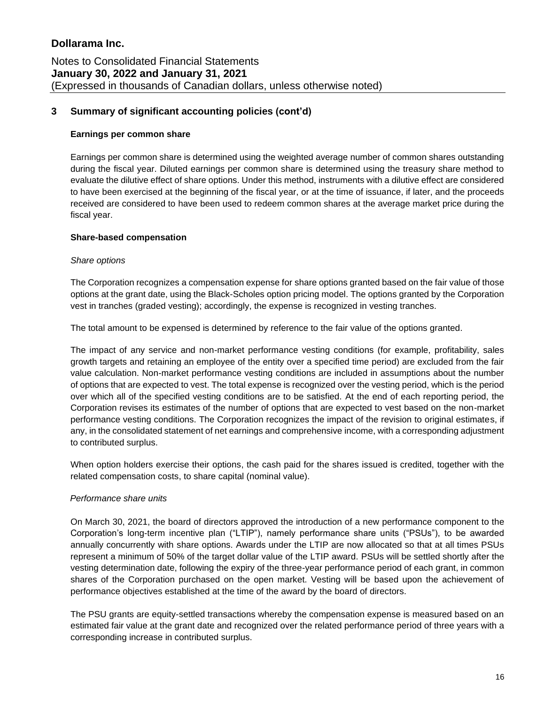### **3 Summary of significant accounting policies (cont'd)**

### **Earnings per common share**

Earnings per common share is determined using the weighted average number of common shares outstanding during the fiscal year. Diluted earnings per common share is determined using the treasury share method to evaluate the dilutive effect of share options. Under this method, instruments with a dilutive effect are considered to have been exercised at the beginning of the fiscal year, or at the time of issuance, if later, and the proceeds received are considered to have been used to redeem common shares at the average market price during the fiscal year.

### **Share-based compensation**

### *Share options*

The Corporation recognizes a compensation expense for share options granted based on the fair value of those options at the grant date, using the Black-Scholes option pricing model. The options granted by the Corporation vest in tranches (graded vesting); accordingly, the expense is recognized in vesting tranches.

The total amount to be expensed is determined by reference to the fair value of the options granted.

The impact of any service and non-market performance vesting conditions (for example, profitability, sales growth targets and retaining an employee of the entity over a specified time period) are excluded from the fair value calculation. Non-market performance vesting conditions are included in assumptions about the number of options that are expected to vest. The total expense is recognized over the vesting period, which is the period over which all of the specified vesting conditions are to be satisfied. At the end of each reporting period, the Corporation revises its estimates of the number of options that are expected to vest based on the non-market performance vesting conditions. The Corporation recognizes the impact of the revision to original estimates, if any, in the consolidated statement of net earnings and comprehensive income, with a corresponding adjustment to contributed surplus.

When option holders exercise their options, the cash paid for the shares issued is credited, together with the related compensation costs, to share capital (nominal value).

### *Performance share units*

On March 30, 2021, the board of directors approved the introduction of a new performance component to the Corporation's long-term incentive plan ("LTIP"), namely performance share units ("PSUs"), to be awarded annually concurrently with share options. Awards under the LTIP are now allocated so that at all times PSUs represent a minimum of 50% of the target dollar value of the LTIP award. PSUs will be settled shortly after the vesting determination date, following the expiry of the three-year performance period of each grant, in common shares of the Corporation purchased on the open market. Vesting will be based upon the achievement of performance objectives established at the time of the award by the board of directors.

The PSU grants are equity-settled transactions whereby the compensation expense is measured based on an estimated fair value at the grant date and recognized over the related performance period of three years with a corresponding increase in contributed surplus.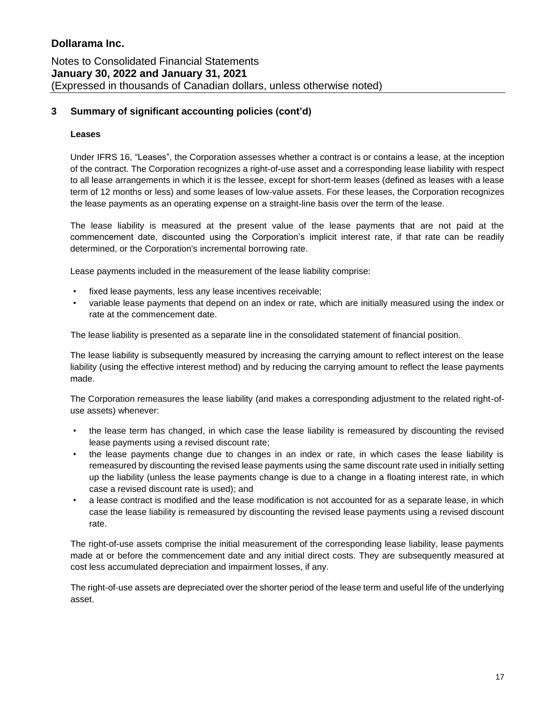## **3 Summary of significant accounting policies (cont'd)**

### **Leases**

Under IFRS 16, "Leases", the Corporation assesses whether a contract is or contains a lease, at the inception of the contract. The Corporation recognizes a right-of-use asset and a corresponding lease liability with respect to all lease arrangements in which it is the lessee, except for short-term leases (defined as leases with a lease term of 12 months or less) and some leases of low-value assets. For these leases, the Corporation recognizes the lease payments as an operating expense on a straight-line basis over the term of the lease.

The lease liability is measured at the present value of the lease payments that are not paid at the commencement date, discounted using the Corporation's implicit interest rate, if that rate can be readily determined, or the Corporation's incremental borrowing rate.

Lease payments included in the measurement of the lease liability comprise:

- fixed lease payments, less any lease incentives receivable;
- variable lease payments that depend on an index or rate, which are initially measured using the index or rate at the commencement date.

The lease liability is presented as a separate line in the consolidated statement of financial position.

The lease liability is subsequently measured by increasing the carrying amount to reflect interest on the lease liability (using the effective interest method) and by reducing the carrying amount to reflect the lease payments made.

The Corporation remeasures the lease liability (and makes a corresponding adjustment to the related right-ofuse assets) whenever:

- the lease term has changed, in which case the lease liability is remeasured by discounting the revised lease payments using a revised discount rate;
- the lease payments change due to changes in an index or rate, in which cases the lease liability is remeasured by discounting the revised lease payments using the same discount rate used in initially setting up the liability (unless the lease payments change is due to a change in a floating interest rate, in which case a revised discount rate is used); and
- a lease contract is modified and the lease modification is not accounted for as a separate lease, in which case the lease liability is remeasured by discounting the revised lease payments using a revised discount rate.

The right-of-use assets comprise the initial measurement of the corresponding lease liability, lease payments made at or before the commencement date and any initial direct costs. They are subsequently measured at cost less accumulated depreciation and impairment losses, if any.

The right-of-use assets are depreciated over the shorter period of the lease term and useful life of the underlying asset.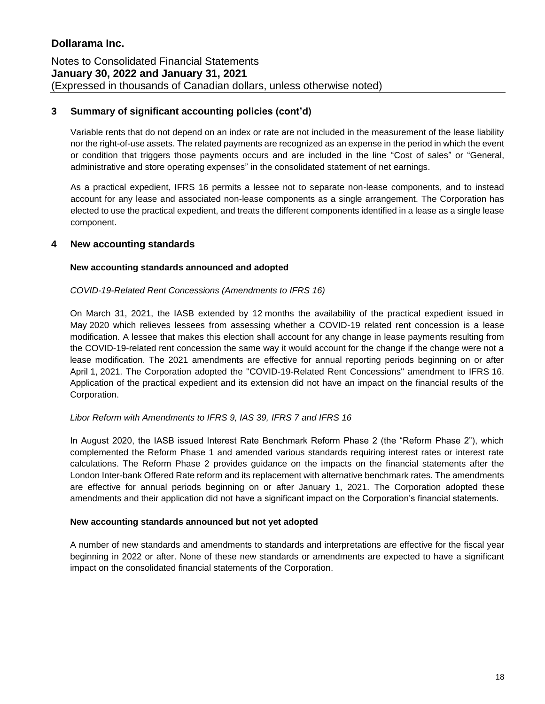### **3 Summary of significant accounting policies (cont'd)**

Variable rents that do not depend on an index or rate are not included in the measurement of the lease liability nor the right-of-use assets. The related payments are recognized as an expense in the period in which the event or condition that triggers those payments occurs and are included in the line "Cost of sales" or "General, administrative and store operating expenses" in the consolidated statement of net earnings.

As a practical expedient, IFRS 16 permits a lessee not to separate non-lease components, and to instead account for any lease and associated non-lease components as a single arrangement. The Corporation has elected to use the practical expedient, and treats the different components identified in a lease as a single lease component.

### **4 New accounting standards**

### **New accounting standards announced and adopted**

### *COVID-19-Related Rent Concessions (Amendments to IFRS 16)*

On March 31, 2021, the IASB extended by 12 months the availability of the practical expedient issued in May 2020 which relieves lessees from assessing whether a COVID-19 related rent concession is a lease modification. A lessee that makes this election shall account for any change in lease payments resulting from the COVID-19-related rent concession the same way it would account for the change if the change were not a lease modification. The 2021 amendments are effective for annual reporting periods beginning on or after April 1, 2021. The Corporation adopted the "COVID-19-Related Rent Concessions" amendment to IFRS 16. Application of the practical expedient and its extension did not have an impact on the financial results of the Corporation.

### *Libor Reform with Amendments to IFRS 9, IAS 39, IFRS 7 and IFRS 16*

In August 2020, the IASB issued Interest Rate Benchmark Reform Phase 2 (the "Reform Phase 2"), which complemented the Reform Phase 1 and amended various standards requiring interest rates or interest rate calculations. The Reform Phase 2 provides guidance on the impacts on the financial statements after the London Inter-bank Offered Rate reform and its replacement with alternative benchmark rates. The amendments are effective for annual periods beginning on or after January 1, 2021. The Corporation adopted these amendments and their application did not have a significant impact on the Corporation's financial statements.

### **New accounting standards announced but not yet adopted**

A number of new standards and amendments to standards and interpretations are effective for the fiscal year beginning in 2022 or after. None of these new standards or amendments are expected to have a significant impact on the consolidated financial statements of the Corporation.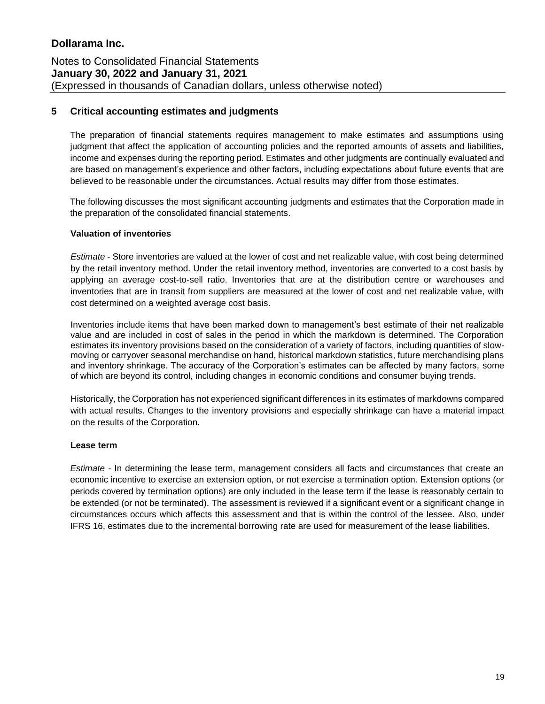### **5 Critical accounting estimates and judgments**

The preparation of financial statements requires management to make estimates and assumptions using judgment that affect the application of accounting policies and the reported amounts of assets and liabilities, income and expenses during the reporting period. Estimates and other judgments are continually evaluated and are based on management's experience and other factors, including expectations about future events that are believed to be reasonable under the circumstances. Actual results may differ from those estimates.

The following discusses the most significant accounting judgments and estimates that the Corporation made in the preparation of the consolidated financial statements.

### **Valuation of inventories**

*Estimate -* Store inventories are valued at the lower of cost and net realizable value, with cost being determined by the retail inventory method. Under the retail inventory method, inventories are converted to a cost basis by applying an average cost-to-sell ratio. Inventories that are at the distribution centre or warehouses and inventories that are in transit from suppliers are measured at the lower of cost and net realizable value, with cost determined on a weighted average cost basis.

Inventories include items that have been marked down to management's best estimate of their net realizable value and are included in cost of sales in the period in which the markdown is determined. The Corporation estimates its inventory provisions based on the consideration of a variety of factors, including quantities of slowmoving or carryover seasonal merchandise on hand, historical markdown statistics, future merchandising plans and inventory shrinkage. The accuracy of the Corporation's estimates can be affected by many factors, some of which are beyond its control, including changes in economic conditions and consumer buying trends.

Historically, the Corporation has not experienced significant differences in its estimates of markdowns compared with actual results. Changes to the inventory provisions and especially shrinkage can have a material impact on the results of the Corporation.

### **Lease term**

*Estimate -* In determining the lease term, management considers all facts and circumstances that create an economic incentive to exercise an extension option, or not exercise a termination option. Extension options (or periods covered by termination options) are only included in the lease term if the lease is reasonably certain to be extended (or not be terminated). The assessment is reviewed if a significant event or a significant change in circumstances occurs which affects this assessment and that is within the control of the lessee. Also, under IFRS 16, estimates due to the incremental borrowing rate are used for measurement of the lease liabilities.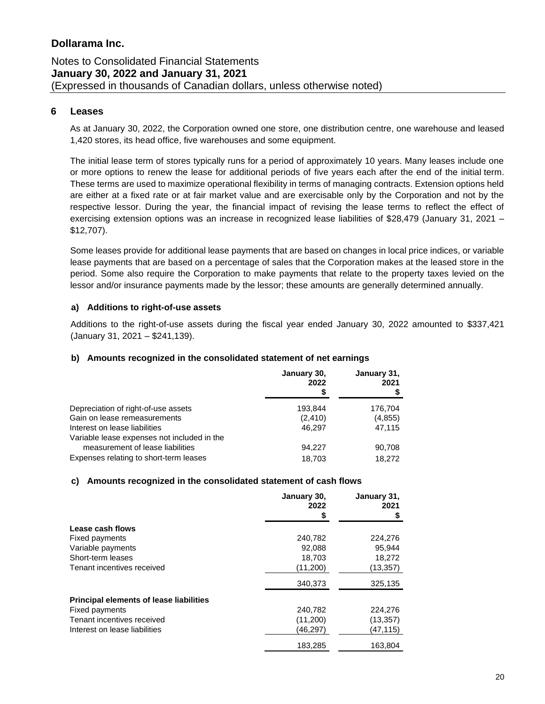### **6 Leases**

As at January 30, 2022, the Corporation owned one store, one distribution centre, one warehouse and leased 1,420 stores, its head office, five warehouses and some equipment.

The initial lease term of stores typically runs for a period of approximately 10 years. Many leases include one or more options to renew the lease for additional periods of five years each after the end of the initial term. These terms are used to maximize operational flexibility in terms of managing contracts. Extension options held are either at a fixed rate or at fair market value and are exercisable only by the Corporation and not by the respective lessor. During the year, the financial impact of revising the lease terms to reflect the effect of exercising extension options was an increase in recognized lease liabilities of \$28,479 (January 31, 2021 – \$12,707).

Some leases provide for additional lease payments that are based on changes in local price indices, or variable lease payments that are based on a percentage of sales that the Corporation makes at the leased store in the period. Some also require the Corporation to make payments that relate to the property taxes levied on the lessor and/or insurance payments made by the lessor; these amounts are generally determined annually.

### **a) Additions to right-of-use assets**

Additions to the right-of-use assets during the fiscal year ended January 30, 2022 amounted to \$337,421 (January 31, 2021 – \$241,139).

### **b) Amounts recognized in the consolidated statement of net earnings**

|                                             | January 30,<br>2022<br>S | January 31,<br>2021 |
|---------------------------------------------|--------------------------|---------------------|
| Depreciation of right-of-use assets         | 193,844                  | 176,704             |
| Gain on lease remeasurements                | (2, 410)                 | (4, 855)            |
| Interest on lease liabilities               | 46.297                   | 47.115              |
| Variable lease expenses not included in the |                          |                     |
| measurement of lease liabilities            | 94.227                   | 90,708              |
| Expenses relating to short-term leases      | 18.703                   | 18.272              |

### **c) Amounts recognized in the consolidated statement of cash flows**

|                                                | January 30,<br>2022<br>\$ | January 31,<br>2021 |
|------------------------------------------------|---------------------------|---------------------|
| Lease cash flows                               |                           |                     |
| Fixed payments                                 | 240,782                   | 224,276             |
| Variable payments                              | 92,088                    | 95.944              |
| Short-term leases                              | 18,703                    | 18,272              |
| Tenant incentives received                     | (11,200)                  | (13,357)            |
|                                                | 340,373                   | 325,135             |
| <b>Principal elements of lease liabilities</b> |                           |                     |
| Fixed payments                                 | 240,782                   | 224,276             |
| Tenant incentives received                     | (11,200)                  | (13, 357)           |
| Interest on lease liabilities                  | (46,297)                  | (47,115)            |
|                                                | 183,285                   | 163,804             |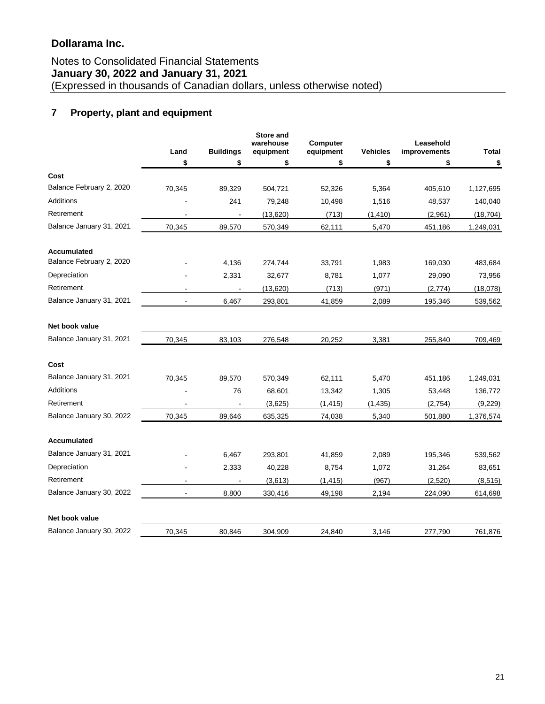# Notes to Consolidated Financial Statements **January 30, 2022 and January 31, 2021**  (Expressed in thousands of Canadian dollars, unless otherwise noted)

# **7 Property, plant and equipment**

|                          | Land           | <b>Buildings</b> | Store and<br>warehouse<br>equipment | <b>Computer</b><br>equipment | <b>Vehicles</b> | Leasehold<br>improvements | <b>Total</b> |
|--------------------------|----------------|------------------|-------------------------------------|------------------------------|-----------------|---------------------------|--------------|
|                          | \$             | \$               | \$                                  | \$                           | \$              | \$                        | \$           |
| Cost                     |                |                  |                                     |                              |                 |                           |              |
| Balance February 2, 2020 | 70,345         | 89,329           | 504,721                             | 52,326                       | 5,364           | 405,610                   | 1,127,695    |
| Additions                |                | 241              | 79,248                              | 10,498                       | 1,516           | 48,537                    | 140,040      |
| Retirement               |                | ÷,               | (13, 620)                           | (713)                        | (1, 410)        | (2,961)                   | (18, 704)    |
| Balance January 31, 2021 | 70,345         | 89,570           | 570,349                             | 62,111                       | 5,470           | 451,186                   | 1,249,031    |
| <b>Accumulated</b>       |                |                  |                                     |                              |                 |                           |              |
| Balance February 2, 2020 |                | 4,136            | 274,744                             | 33,791                       | 1,983           | 169,030                   | 483,684      |
| Depreciation             |                | 2,331            | 32,677                              | 8,781                        | 1,077           | 29,090                    | 73,956       |
| Retirement               |                | $\overline{a}$   | (13,620)                            | (713)                        | (971)           | (2, 774)                  | (18,078)     |
| Balance January 31, 2021 | $\overline{a}$ | 6,467            | 293,801                             | 41,859                       | 2,089           | 195,346                   | 539,562      |
| Net book value           |                |                  |                                     |                              |                 |                           |              |
| Balance January 31, 2021 | 70,345         | 83,103           | 276,548                             | 20,252                       | 3,381           | 255,840                   | 709,469      |
| Cost                     |                |                  |                                     |                              |                 |                           |              |
| Balance January 31, 2021 | 70,345         | 89,570           | 570,349                             | 62,111                       | 5,470           | 451,186                   | 1,249,031    |
| <b>Additions</b>         |                | 76               | 68,601                              | 13,342                       | 1,305           | 53,448                    | 136,772      |
| Retirement               |                | $\blacksquare$   | (3,625)                             | (1, 415)                     | (1, 435)        | (2,754)                   | (9,229)      |
| Balance January 30, 2022 | 70,345         | 89,646           | 635,325                             | 74,038                       | 5,340           | 501,880                   | 1,376,574    |
| Accumulated              |                |                  |                                     |                              |                 |                           |              |
| Balance January 31, 2021 |                | 6,467            | 293,801                             | 41,859                       | 2,089           | 195,346                   | 539,562      |
| Depreciation             |                | 2,333            | 40,228                              | 8,754                        | 1,072           | 31,264                    | 83,651       |
| Retirement               |                |                  | (3,613)                             | (1, 415)                     | (967)           | (2,520)                   | (8, 515)     |
| Balance January 30, 2022 | $\overline{a}$ | 8,800            | 330,416                             | 49,198                       | 2,194           | 224,090                   | 614,698      |
| Net book value           |                |                  |                                     |                              |                 |                           |              |
| Balance January 30, 2022 | 70,345         | 80,846           | 304,909                             | 24,840                       | 3,146           | 277,790                   | 761,876      |
|                          |                |                  |                                     |                              |                 |                           |              |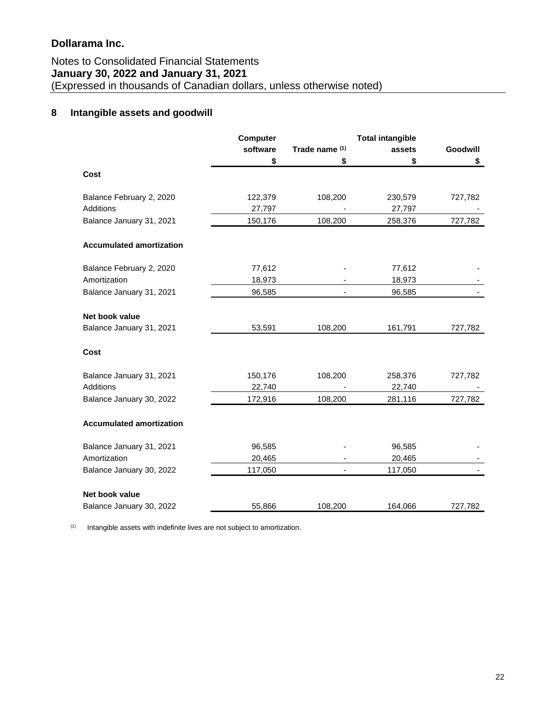# Notes to Consolidated Financial Statements **January 30, 2022 and January 31, 2021**  (Expressed in thousands of Canadian dollars, unless otherwise noted)

## **8 Intangible assets and goodwill**

|                                 | Computer |                | <b>Total intangible</b> |          |
|---------------------------------|----------|----------------|-------------------------|----------|
|                                 | software | Trade name (1) | assets                  | Goodwill |
|                                 | \$       | \$             | \$                      | \$       |
| Cost                            |          |                |                         |          |
| Balance February 2, 2020        | 122,379  | 108,200        | 230,579                 | 727,782  |
| Additions                       | 27,797   |                | 27,797                  |          |
| Balance January 31, 2021        | 150,176  | 108,200        | 258,376                 | 727,782  |
| <b>Accumulated amortization</b> |          |                |                         |          |
| Balance February 2, 2020        | 77,612   |                | 77,612                  |          |
| Amortization                    | 18,973   |                | 18,973                  |          |
| Balance January 31, 2021        | 96,585   |                | 96,585                  |          |
| Net book value                  |          |                |                         |          |
| Balance January 31, 2021        | 53,591   | 108,200        | 161,791                 | 727,782  |
| Cost                            |          |                |                         |          |
| Balance January 31, 2021        | 150,176  | 108,200        | 258,376                 | 727,782  |
| <b>Additions</b>                | 22,740   |                | 22,740                  |          |
| Balance January 30, 2022        | 172,916  | 108,200        | 281,116                 | 727,782  |
| <b>Accumulated amortization</b> |          |                |                         |          |
| Balance January 31, 2021        | 96,585   |                | 96,585                  |          |
| Amortization                    | 20,465   |                | 20,465                  |          |
| Balance January 30, 2022        | 117,050  |                | 117,050                 |          |
| Net book value                  |          |                |                         |          |
| Balance January 30, 2022        | 55,866   | 108,200        | 164,066                 | 727,782  |

 $(1)$  Intangible assets with indefinite lives are not subject to amortization.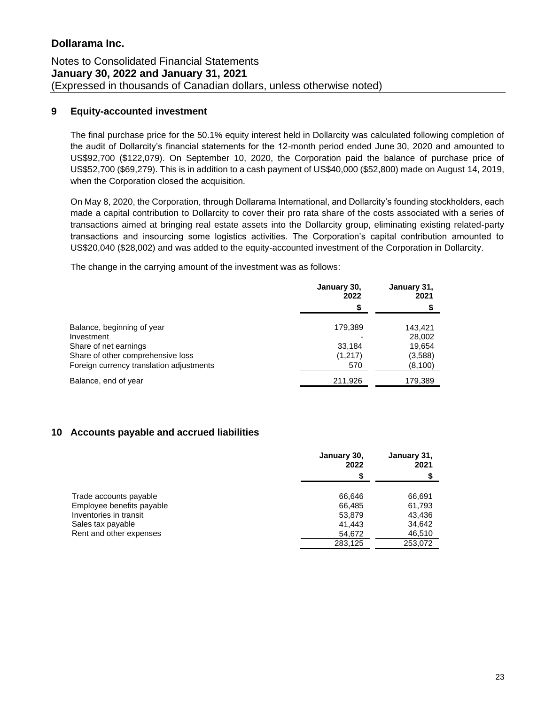# Notes to Consolidated Financial Statements **January 30, 2022 and January 31, 2021**  (Expressed in thousands of Canadian dollars, unless otherwise noted)

### **9 Equity-accounted investment**

The final purchase price for the 50.1% equity interest held in Dollarcity was calculated following completion of the audit of Dollarcity's financial statements for the 12-month period ended June 30, 2020 and amounted to US\$92,700 (\$122,079). On September 10, 2020, the Corporation paid the balance of purchase price of US\$52,700 (\$69,279). This is in addition to a cash payment of US\$40,000 (\$52,800) made on August 14, 2019, when the Corporation closed the acquisition.

On May 8, 2020, the Corporation, through Dollarama International, and Dollarcity's founding stockholders, each made a capital contribution to Dollarcity to cover their pro rata share of the costs associated with a series of transactions aimed at bringing real estate assets into the Dollarcity group, eliminating existing related-party transactions and insourcing some logistics activities. The Corporation's capital contribution amounted to US\$20,040 (\$28,002) and was added to the equity-accounted investment of the Corporation in Dollarcity.

The change in the carrying amount of the investment was as follows:

|                                                                               | January 30,<br>2022 | January 31,<br>2021 |
|-------------------------------------------------------------------------------|---------------------|---------------------|
|                                                                               | \$                  | \$                  |
| Balance, beginning of year<br>Investment                                      | 179,389             | 143.421<br>28,002   |
| Share of net earnings                                                         | 33,184              | 19,654              |
| Share of other comprehensive loss<br>Foreign currency translation adjustments | (1,217)<br>570      | (3,588)<br>(8,100)  |
| Balance, end of year                                                          | 211,926             | 179,389             |

### **10 Accounts payable and accrued liabilities**

|                           | January 30,<br>2022 | January 31,<br>2021 |
|---------------------------|---------------------|---------------------|
|                           |                     |                     |
| Trade accounts payable    | 66,646              | 66,691              |
| Employee benefits payable | 66.485              | 61,793              |
| Inventories in transit    | 53,879              | 43,436              |
| Sales tax payable         | 41.443              | 34,642              |
| Rent and other expenses   | 54,672              | 46,510              |
|                           | 283,125             | 253,072             |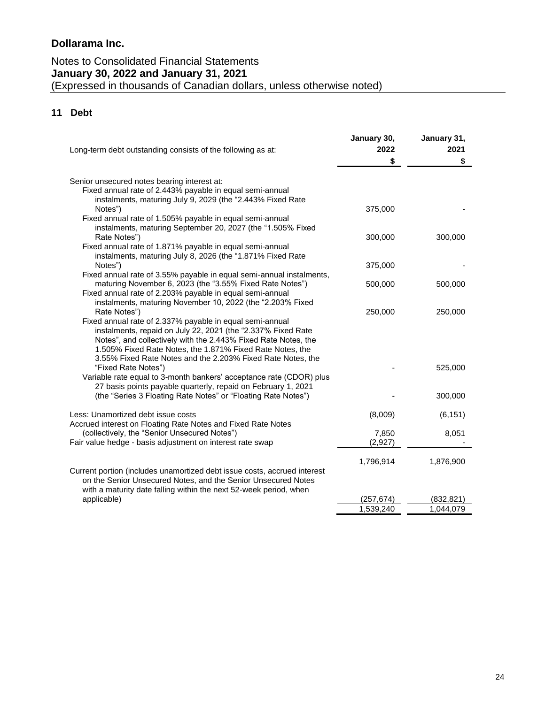# Notes to Consolidated Financial Statements **January 30, 2022 and January 31, 2021**  (Expressed in thousands of Canadian dollars, unless otherwise noted)

# **11 Debt**

| Long-term debt outstanding consists of the following as at:                                                                                                                                                                                                | January 30,<br>2022<br>\$ | January 31,<br>2021<br>\$ |
|------------------------------------------------------------------------------------------------------------------------------------------------------------------------------------------------------------------------------------------------------------|---------------------------|---------------------------|
| Senior unsecured notes bearing interest at:                                                                                                                                                                                                                |                           |                           |
| Fixed annual rate of 2.443% payable in equal semi-annual<br>instalments, maturing July 9, 2029 (the "2.443% Fixed Rate<br>Notes")                                                                                                                          | 375,000                   |                           |
| Fixed annual rate of 1.505% payable in equal semi-annual<br>instalments, maturing September 20, 2027 (the "1.505% Fixed<br>Rate Notes")                                                                                                                    | 300,000                   | 300,000                   |
| Fixed annual rate of 1.871% payable in equal semi-annual<br>instalments, maturing July 8, 2026 (the "1.871% Fixed Rate                                                                                                                                     |                           |                           |
| Notes")<br>Fixed annual rate of 3.55% payable in equal semi-annual instalments,                                                                                                                                                                            | 375,000                   |                           |
| maturing November 6, 2023 (the "3.55% Fixed Rate Notes")<br>Fixed annual rate of 2.203% payable in equal semi-annual<br>instalments, maturing November 10, 2022 (the "2.203% Fixed                                                                         | 500,000                   | 500,000                   |
| Rate Notes")<br>Fixed annual rate of 2.337% payable in equal semi-annual                                                                                                                                                                                   | 250,000                   | 250,000                   |
| instalments, repaid on July 22, 2021 (the "2.337% Fixed Rate<br>Notes", and collectively with the 2.443% Fixed Rate Notes, the<br>1.505% Fixed Rate Notes, the 1.871% Fixed Rate Notes, the<br>3.55% Fixed Rate Notes and the 2.203% Fixed Rate Notes, the |                           |                           |
| "Fixed Rate Notes")<br>Variable rate equal to 3-month bankers' acceptance rate (CDOR) plus<br>27 basis points payable quarterly, repaid on February 1, 2021                                                                                                |                           | 525,000                   |
| (the "Series 3 Floating Rate Notes" or "Floating Rate Notes")                                                                                                                                                                                              |                           | 300,000                   |
| Less: Unamortized debt issue costs<br>Accrued interest on Floating Rate Notes and Fixed Rate Notes                                                                                                                                                         | (8,009)                   | (6, 151)                  |
| (collectively, the "Senior Unsecured Notes")<br>Fair value hedge - basis adjustment on interest rate swap                                                                                                                                                  | 7,850                     | 8,051                     |
|                                                                                                                                                                                                                                                            | (2,927)                   |                           |
| Current portion (includes unamortized debt issue costs, accrued interest<br>on the Senior Unsecured Notes, and the Senior Unsecured Notes<br>with a maturity date falling within the next 52-week period, when                                             | 1,796,914                 | 1,876,900                 |
| applicable)                                                                                                                                                                                                                                                | (257,674)                 | (832, 821)                |
|                                                                                                                                                                                                                                                            | 1,539,240                 | 1,044,079                 |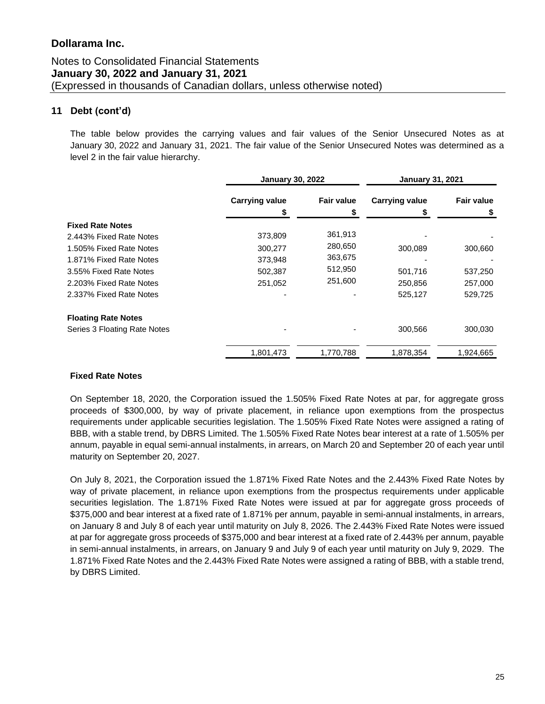### **11 Debt (cont'd)**

The table below provides the carrying values and fair values of the Senior Unsecured Notes as at January 30, 2022 and January 31, 2021. The fair value of the Senior Unsecured Notes was determined as a level 2 in the fair value hierarchy.

|                              | <b>January 30, 2022</b> |                   | <b>January 31, 2021</b> |                   |
|------------------------------|-------------------------|-------------------|-------------------------|-------------------|
|                              | <b>Carrying value</b>   | <b>Fair value</b> | <b>Carrying value</b>   | <b>Fair value</b> |
|                              |                         | \$                | \$                      |                   |
| <b>Fixed Rate Notes</b>      |                         |                   |                         |                   |
| 2.443% Fixed Rate Notes      | 373,809                 | 361,913           |                         |                   |
| 1.505% Fixed Rate Notes      | 300,277                 | 280,650           | 300,089                 | 300,660           |
| 1.871% Fixed Rate Notes      | 373,948                 | 363,675           |                         |                   |
| 3.55% Fixed Rate Notes       | 502,387                 | 512,950           | 501,716                 | 537,250           |
| 2.203% Fixed Rate Notes      | 251,052                 | 251,600           | 250,856                 | 257,000           |
| 2.337% Fixed Rate Notes      |                         |                   | 525,127                 | 529,725           |
| <b>Floating Rate Notes</b>   |                         |                   |                         |                   |
| Series 3 Floating Rate Notes |                         |                   | 300,566                 | 300,030           |
|                              | 1,801,473               | 1,770,788         | 1,878,354               | 1,924,665         |

### **Fixed Rate Notes**

On September 18, 2020, the Corporation issued the 1.505% Fixed Rate Notes at par, for aggregate gross proceeds of \$300,000, by way of private placement, in reliance upon exemptions from the prospectus requirements under applicable securities legislation. The 1.505% Fixed Rate Notes were assigned a rating of BBB, with a stable trend, by DBRS Limited. The 1.505% Fixed Rate Notes bear interest at a rate of 1.505% per annum, payable in equal semi-annual instalments, in arrears, on March 20 and September 20 of each year until maturity on September 20, 2027.

On July 8, 2021, the Corporation issued the 1.871% Fixed Rate Notes and the 2.443% Fixed Rate Notes by way of private placement, in reliance upon exemptions from the prospectus requirements under applicable securities legislation. The 1.871% Fixed Rate Notes were issued at par for aggregate gross proceeds of \$375,000 and bear interest at a fixed rate of 1.871% per annum, payable in semi-annual instalments, in arrears, on January 8 and July 8 of each year until maturity on July 8, 2026. The 2.443% Fixed Rate Notes were issued at par for aggregate gross proceeds of \$375,000 and bear interest at a fixed rate of 2.443% per annum, payable in semi-annual instalments, in arrears, on January 9 and July 9 of each year until maturity on July 9, 2029. The 1.871% Fixed Rate Notes and the 2.443% Fixed Rate Notes were assigned a rating of BBB, with a stable trend, by DBRS Limited.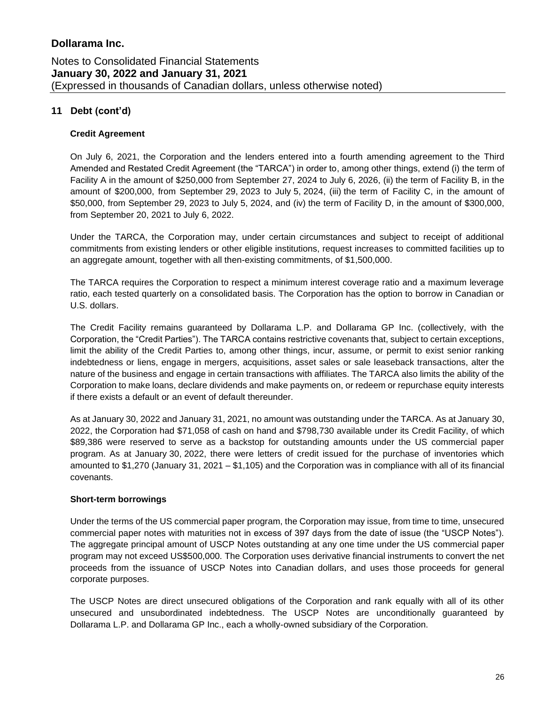### **11 Debt (cont'd)**

### **Credit Agreement**

On July 6, 2021, the Corporation and the lenders entered into a fourth amending agreement to the Third Amended and Restated Credit Agreement (the "TARCA") in order to, among other things, extend (i) the term of Facility A in the amount of \$250,000 from September 27, 2024 to July 6, 2026, (ii) the term of Facility B, in the amount of \$200,000, from September 29, 2023 to July 5, 2024, (iii) the term of Facility C, in the amount of \$50,000, from September 29, 2023 to July 5, 2024, and (iv) the term of Facility D, in the amount of \$300,000, from September 20, 2021 to July 6, 2022.

Under the TARCA, the Corporation may, under certain circumstances and subject to receipt of additional commitments from existing lenders or other eligible institutions, request increases to committed facilities up to an aggregate amount, together with all then-existing commitments, of \$1,500,000.

The TARCA requires the Corporation to respect a minimum interest coverage ratio and a maximum leverage ratio, each tested quarterly on a consolidated basis. The Corporation has the option to borrow in Canadian or U.S. dollars.

The Credit Facility remains guaranteed by Dollarama L.P. and Dollarama GP Inc. (collectively, with the Corporation, the "Credit Parties"). The TARCA contains restrictive covenants that, subject to certain exceptions, limit the ability of the Credit Parties to, among other things, incur, assume, or permit to exist senior ranking indebtedness or liens, engage in mergers, acquisitions, asset sales or sale leaseback transactions, alter the nature of the business and engage in certain transactions with affiliates. The TARCA also limits the ability of the Corporation to make loans, declare dividends and make payments on, or redeem or repurchase equity interests if there exists a default or an event of default thereunder.

As at January 30, 2022 and January 31, 2021, no amount was outstanding under the TARCA. As at January 30, 2022, the Corporation had \$71,058 of cash on hand and \$798,730 available under its Credit Facility, of which \$89,386 were reserved to serve as a backstop for outstanding amounts under the US commercial paper program. As at January 30, 2022, there were letters of credit issued for the purchase of inventories which amounted to \$1,270 (January 31, 2021 – \$1,105) and the Corporation was in compliance with all of its financial covenants.

### **Short-term borrowings**

Under the terms of the US commercial paper program, the Corporation may issue, from time to time, unsecured commercial paper notes with maturities not in excess of 397 days from the date of issue (the "USCP Notes"). The aggregate principal amount of USCP Notes outstanding at any one time under the US commercial paper program may not exceed US\$500,000. The Corporation uses derivative financial instruments to convert the net proceeds from the issuance of USCP Notes into Canadian dollars, and uses those proceeds for general corporate purposes.

The USCP Notes are direct unsecured obligations of the Corporation and rank equally with all of its other unsecured and unsubordinated indebtedness. The USCP Notes are unconditionally guaranteed by Dollarama L.P. and Dollarama GP Inc., each a wholly-owned subsidiary of the Corporation.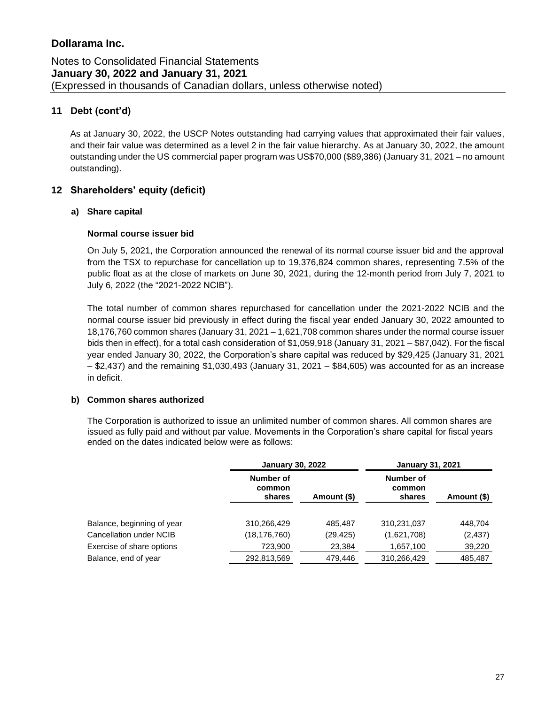### **11 Debt (cont'd)**

As at January 30, 2022, the USCP Notes outstanding had carrying values that approximated their fair values, and their fair value was determined as a level 2 in the fair value hierarchy. As at January 30, 2022, the amount outstanding under the US commercial paper program was US\$70,000 (\$89,386) (January 31, 2021 – no amount outstanding).

### **12 Shareholders' equity (deficit)**

### **a) Share capital**

### **Normal course issuer bid**

On July 5, 2021, the Corporation announced the renewal of its normal course issuer bid and the approval from the TSX to repurchase for cancellation up to 19,376,824 common shares, representing 7.5% of the public float as at the close of markets on June 30, 2021, during the 12-month period from July 7, 2021 to July 6, 2022 (the "2021-2022 NCIB").

The total number of common shares repurchased for cancellation under the 2021-2022 NCIB and the normal course issuer bid previously in effect during the fiscal year ended January 30, 2022 amounted to 18,176,760 common shares (January 31, 2021 – 1,621,708 common shares under the normal course issuer bids then in effect), for a total cash consideration of \$1,059,918 (January 31, 2021 – \$87,042). For the fiscal year ended January 30, 2022, the Corporation's share capital was reduced by \$29,425 (January 31, 2021 – \$2,437) and the remaining \$1,030,493 (January 31, 2021 – \$84,605) was accounted for as an increase in deficit.

### **b) Common shares authorized**

The Corporation is authorized to issue an unlimited number of common shares. All common shares are issued as fully paid and without par value. Movements in the Corporation's share capital for fiscal years ended on the dates indicated below were as follows:

|                            | <b>January 30, 2022</b>                      |           | <b>January 31, 2021</b>       |             |
|----------------------------|----------------------------------------------|-----------|-------------------------------|-------------|
|                            | Number of<br>common<br>Amount (\$)<br>shares |           | Number of<br>common<br>shares | Amount (\$) |
|                            |                                              |           |                               |             |
| Balance, beginning of year | 310,266,429                                  | 485.487   | 310,231,037                   | 448.704     |
| Cancellation under NCIB    | (18, 176, 760)                               | (29, 425) | (1,621,708)                   | (2, 437)    |
| Exercise of share options  | 723,900                                      | 23,384    | 1,657,100                     | 39,220      |
| Balance, end of year       | 292,813,569                                  | 479,446   | 310,266,429                   | 485,487     |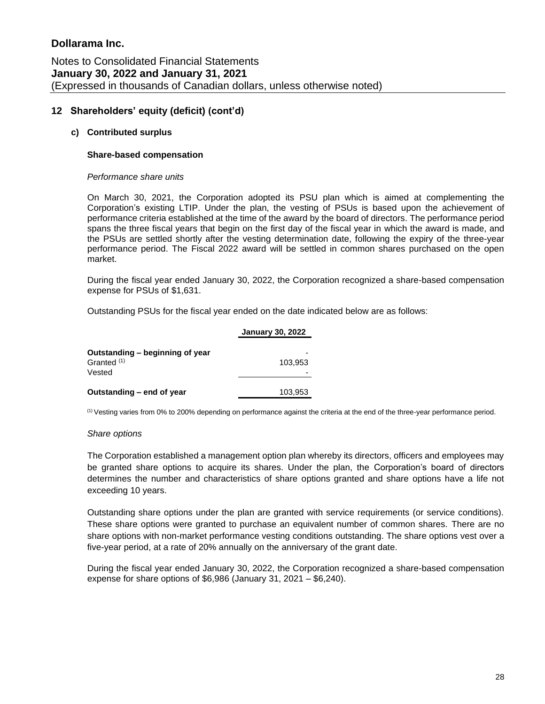### **12 Shareholders' equity (deficit) (cont'd)**

### **c) Contributed surplus**

### **Share-based compensation**

### *Performance share units*

On March 30, 2021, the Corporation adopted its PSU plan which is aimed at complementing the Corporation's existing LTIP. Under the plan, the vesting of PSUs is based upon the achievement of performance criteria established at the time of the award by the board of directors. The performance period spans the three fiscal years that begin on the first day of the fiscal year in which the award is made, and the PSUs are settled shortly after the vesting determination date, following the expiry of the three-year performance period. The Fiscal 2022 award will be settled in common shares purchased on the open market.

During the fiscal year ended January 30, 2022, the Corporation recognized a share-based compensation expense for PSUs of \$1,631.

Outstanding PSUs for the fiscal year ended on the date indicated below are as follows:

|                                                                     | <b>January 30, 2022</b> |
|---------------------------------------------------------------------|-------------------------|
| Outstanding – beginning of year<br>Granted <sup>(1)</sup><br>Vested | 103.953<br>-            |
| Outstanding - end of year                                           | 103,953                 |

(1) Vesting varies from 0% to 200% depending on performance against the criteria at the end of the three-year performance period.

### *Share options*

The Corporation established a management option plan whereby its directors, officers and employees may be granted share options to acquire its shares. Under the plan, the Corporation's board of directors determines the number and characteristics of share options granted and share options have a life not exceeding 10 years.

Outstanding share options under the plan are granted with service requirements (or service conditions). These share options were granted to purchase an equivalent number of common shares. There are no share options with non-market performance vesting conditions outstanding. The share options vest over a five-year period, at a rate of 20% annually on the anniversary of the grant date.

During the fiscal year ended January 30, 2022, the Corporation recognized a share-based compensation expense for share options of \$6,986 (January 31, 2021 – \$6,240).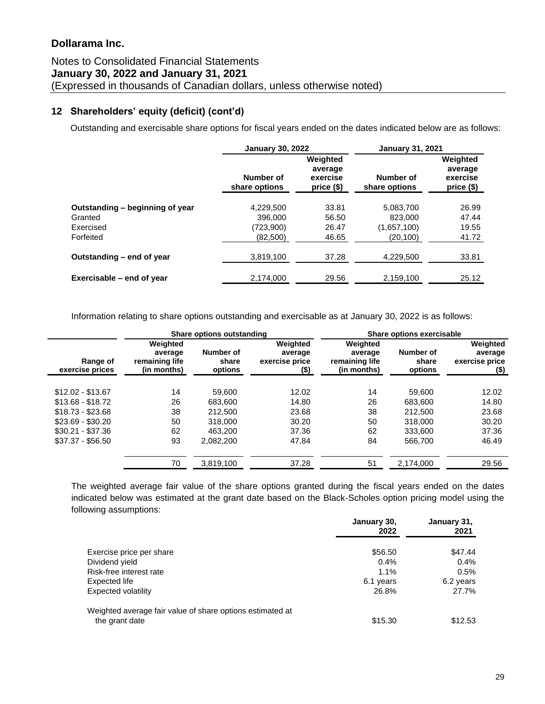### **12 Shareholders' equity (deficit) (cont'd)**

Outstanding and exercisable share options for fiscal years ended on the dates indicated below are as follows:

|                                 | <b>January 30, 2022</b>    |                                               | <b>January 31, 2021</b>    |                                               |
|---------------------------------|----------------------------|-----------------------------------------------|----------------------------|-----------------------------------------------|
|                                 | Number of<br>share options | Weighted<br>average<br>exercise<br>price (\$) | Number of<br>share options | Weighted<br>average<br>exercise<br>price (\$) |
| Outstanding – beginning of year | 4,229,500                  | 33.81                                         | 5,083,700                  | 26.99                                         |
| Granted                         | 396.000                    | 56.50                                         | 823.000                    | 47.44                                         |
| Exercised                       | (723,900)                  | 26.47                                         | (1,657,100)                | 19.55                                         |
| Forfeited                       | (82,500)                   | 46.65                                         | (20, 100)                  | 41.72                                         |
| Outstanding - end of year       | 3,819,100                  | 37.28                                         | 4.229.500                  | 33.81                                         |
| Exercisable – end of year       | 2.174.000                  | 29.56                                         | 2,159,100                  | 25.12                                         |

Information relating to share options outstanding and exercisable as at January 30, 2022 is as follows:

|                             |                                                      | Share options outstanding     |                                                  |                                                      | Share options exercisable     |                                                  |
|-----------------------------|------------------------------------------------------|-------------------------------|--------------------------------------------------|------------------------------------------------------|-------------------------------|--------------------------------------------------|
| Range of<br>exercise prices | Weighted<br>average<br>remaining life<br>(in months) | Number of<br>share<br>options | Weighted<br>average<br>exercise price<br>$($ \$) | Weighted<br>average<br>remaining life<br>(in months) | Number of<br>share<br>options | Weighted<br>average<br>exercise price<br>$($ \$) |
| $$12.02 - $13.67$           | 14                                                   | 59.600                        | 12.02                                            | 14                                                   | 59,600                        | 12.02                                            |
| $$13.68 - $18.72$           | 26                                                   | 683,600                       | 14.80                                            | 26                                                   | 683,600                       | 14.80                                            |
| $$18.73 - $23.68$           | 38                                                   | 212,500                       | 23.68                                            | 38                                                   | 212,500                       | 23.68                                            |
| $$23.69 - $30.20$           | 50                                                   | 318,000                       | 30.20                                            | 50                                                   | 318,000                       | 30.20                                            |
| $$30.21 - $37.36$           | 62                                                   | 463.200                       | 37.36                                            | 62                                                   | 333,600                       | 37.36                                            |
| $$37.37 - $56.50$           | 93                                                   | 2,082,200                     | 47.84                                            | 84                                                   | 566.700                       | 46.49                                            |
|                             | 70                                                   | 3,819,100                     | 37.28                                            | 51                                                   | 2,174,000                     | 29.56                                            |

The weighted average fair value of the share options granted during the fiscal years ended on the dates indicated below was estimated at the grant date based on the Black-Scholes option pricing model using the following assumptions:

|                                                           | January 30,<br>2022 | January 31,<br>2021 |
|-----------------------------------------------------------|---------------------|---------------------|
| Exercise price per share                                  | \$56.50             | \$47.44             |
| Dividend yield                                            | 0.4%                | 0.4%                |
| Risk-free interest rate                                   | 1.1%                | 0.5%                |
| Expected life                                             | 6.1 years           | 6.2 years           |
| Expected volatility                                       | 26.8%               | 27.7%               |
| Weighted average fair value of share options estimated at |                     |                     |
| the grant date                                            | \$15.30             | \$12.53             |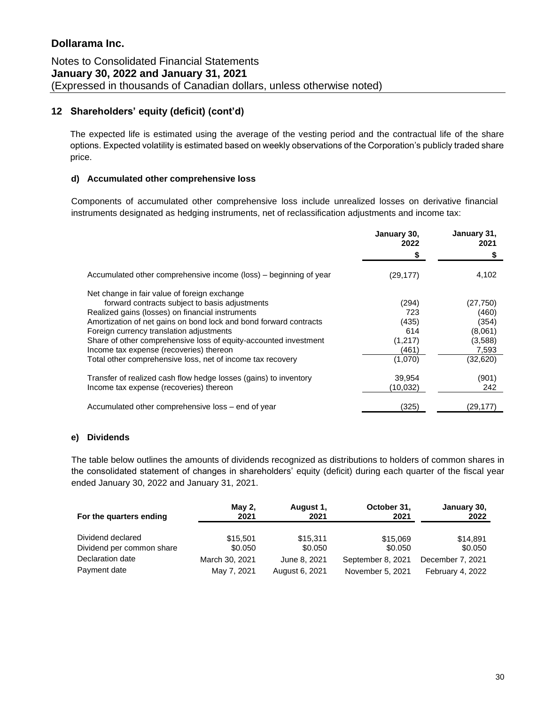### **12 Shareholders' equity (deficit) (cont'd)**

The expected life is estimated using the average of the vesting period and the contractual life of the share options. Expected volatility is estimated based on weekly observations of the Corporation's publicly traded share price.

### **d) Accumulated other comprehensive loss**

Components of accumulated other comprehensive loss include unrealized losses on derivative financial instruments designated as hedging instruments, net of reclassification adjustments and income tax:

|                                                                   | January 30,<br>2022 | January 31,<br>2021 |
|-------------------------------------------------------------------|---------------------|---------------------|
|                                                                   |                     |                     |
| Accumulated other comprehensive income (loss) – beginning of year | (29,177)            | 4,102               |
| Net change in fair value of foreign exchange                      |                     |                     |
| forward contracts subject to basis adjustments                    | (294)               | (27, 750)           |
| Realized gains (losses) on financial instruments                  | 723                 | (460)               |
| Amortization of net gains on bond lock and bond forward contracts | (435)               | (354)               |
| Foreign currency translation adjustments                          | 614                 | (8,061)             |
| Share of other comprehensive loss of equity-accounted investment  | (1,217)             | (3,588)             |
| Income tax expense (recoveries) thereon                           | (461)               | 7,593               |
| Total other comprehensive loss, net of income tax recovery        | (1,070)             | (32, 620)           |
| Transfer of realized cash flow hedge losses (gains) to inventory  | 39,954              | (901)               |
| Income tax expense (recoveries) thereon                           | (10.032)            | 242                 |
| Accumulated other comprehensive loss – end of year                | (325)               | (29,177)            |

### **e) Dividends**

The table below outlines the amounts of dividends recognized as distributions to holders of common shares in the consolidated statement of changes in shareholders' equity (deficit) during each quarter of the fiscal year ended January 30, 2022 and January 31, 2021.

| For the quarters ending   | <b>May 2.</b>  | August 1,      | October 31,       | January 30,      |
|---------------------------|----------------|----------------|-------------------|------------------|
|                           | 2021           | 2021           | 2021              | 2022             |
| Dividend declared         | \$15.501       | \$15,311       | \$15,069          | \$14,891         |
| Dividend per common share | \$0.050        | \$0.050        | \$0.050           | \$0.050          |
| Declaration date          | March 30, 2021 | June 8, 2021   | September 8, 2021 | December 7, 2021 |
| Payment date              | May 7, 2021    | August 6, 2021 | November 5, 2021  | February 4, 2022 |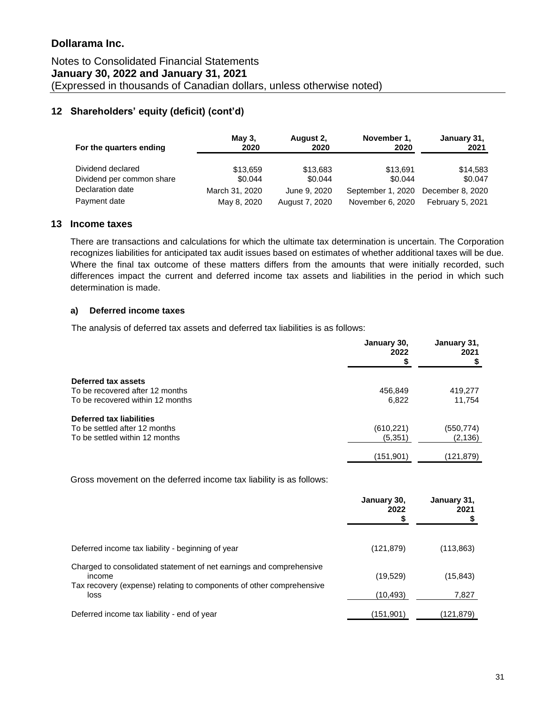# **12 Shareholders' equity (deficit) (cont'd)**

| For the quarters ending   | May 3,         | August 2,      | November 1,       | January 31,      |
|---------------------------|----------------|----------------|-------------------|------------------|
|                           | 2020           | 2020           | 2020              | 2021             |
| Dividend declared         | \$13,659       | \$13,683       | \$13.691          | \$14,583         |
| Dividend per common share | \$0.044        | \$0.044        | \$0.044           | \$0.047          |
| Declaration date          | March 31, 2020 | June 9, 2020   | September 1, 2020 | December 8, 2020 |
| Payment date              | May 8, 2020    | August 7, 2020 | November 6, 2020  | February 5, 2021 |

### **13 Income taxes**

There are transactions and calculations for which the ultimate tax determination is uncertain. The Corporation recognizes liabilities for anticipated tax audit issues based on estimates of whether additional taxes will be due. Where the final tax outcome of these matters differs from the amounts that were initially recorded, such differences impact the current and deferred income tax assets and liabilities in the period in which such determination is made.

### **a) Deferred income taxes**

The analysis of deferred tax assets and deferred tax liabilities is as follows:

|                                  | January 30,<br>2022 | January 31,<br>2021 |
|----------------------------------|---------------------|---------------------|
|                                  |                     |                     |
| Deferred tax assets              |                     |                     |
| To be recovered after 12 months  | 456,849             | 419,277             |
| To be recovered within 12 months | 6,822               | 11,754              |
| Deferred tax liabilities         |                     |                     |
| To be settled after 12 months    | (610, 221)          | (550, 774)          |
| To be settled within 12 months   | (5, 351)            | (2, 136)            |
|                                  | (151,901)           | (121,879)           |

Gross movement on the deferred income tax liability is as follows:

|                                                                                                                                                       | January 30,<br>2022 | January 31,<br>2021 |
|-------------------------------------------------------------------------------------------------------------------------------------------------------|---------------------|---------------------|
| Deferred income tax liability - beginning of year                                                                                                     | (121, 879)          | (113,863)           |
| Charged to consolidated statement of net earnings and comprehensive<br>income<br>Tax recovery (expense) relating to components of other comprehensive | (19,529)            | (15,843)            |
| loss                                                                                                                                                  | (10, 493)           | 7,827               |
| Deferred income tax liability - end of year                                                                                                           | (151,901)           | (121,879)           |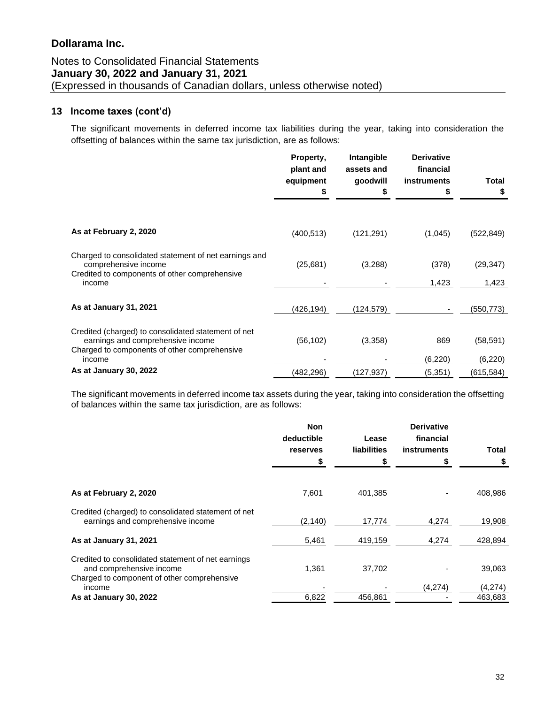# Notes to Consolidated Financial Statements **January 30, 2022 and January 31, 2021**  (Expressed in thousands of Canadian dollars, unless otherwise noted)

### **13 Income taxes (cont'd)**

The significant movements in deferred income tax liabilities during the year, taking into consideration the offsetting of balances within the same tax jurisdiction, are as follows:

|                                                                                                                                          | Property,<br>plant and<br>equipment<br>S | Intangible<br>assets and<br>goodwill | <b>Derivative</b><br>financial<br>instruments<br>\$ | Total<br>\$ |
|------------------------------------------------------------------------------------------------------------------------------------------|------------------------------------------|--------------------------------------|-----------------------------------------------------|-------------|
| As at February 2, 2020                                                                                                                   | (400, 513)                               | (121, 291)                           | (1,045)                                             | (522, 849)  |
| Charged to consolidated statement of net earnings and<br>comprehensive income<br>Credited to components of other comprehensive           | (25,681)                                 | (3,288)                              | (378)                                               | (29, 347)   |
| income                                                                                                                                   |                                          |                                      | 1,423                                               | 1,423       |
| As at January 31, 2021                                                                                                                   | (426,194)                                | (124,579)                            |                                                     | (550,773)   |
| Credited (charged) to consolidated statement of net<br>earnings and comprehensive income<br>Charged to components of other comprehensive | (56, 102)                                | (3,358)                              | 869                                                 | (58, 591)   |
| income                                                                                                                                   |                                          |                                      | (6, 220)                                            | (6, 220)    |
| As at January 30, 2022                                                                                                                   | (482,296)                                | (127,937)                            | (5, 351)                                            | (615,584)   |

The significant movements in deferred income tax assets during the year, taking into consideration the offsetting of balances within the same tax jurisdiction, are as follows:

|                                                                                                                               | <b>Non</b><br>deductible<br>reserves<br>\$ | Lease<br><b>liabilities</b><br>\$ | <b>Derivative</b><br>financial<br><b>instruments</b><br>\$ | Total<br>\$ |
|-------------------------------------------------------------------------------------------------------------------------------|--------------------------------------------|-----------------------------------|------------------------------------------------------------|-------------|
| As at February 2, 2020                                                                                                        | 7,601                                      | 401,385                           |                                                            | 408,986     |
| Credited (charged) to consolidated statement of net<br>earnings and comprehensive income                                      | (2, 140)                                   | 17,774                            | 4,274                                                      | 19,908      |
| As at January 31, 2021                                                                                                        | 5,461                                      | 419,159                           | 4,274                                                      | 428,894     |
| Credited to consolidated statement of net earnings<br>and comprehensive income<br>Charged to component of other comprehensive | 1,361                                      | 37.702                            |                                                            | 39,063      |
| income                                                                                                                        |                                            |                                   | (4,274)                                                    | (4, 274)    |
| As at January 30, 2022                                                                                                        | 6,822                                      | 456,861                           |                                                            | 463,683     |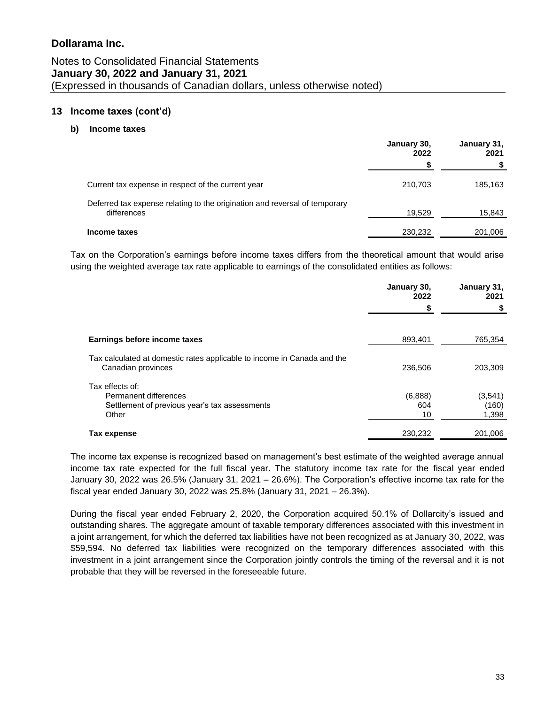### **13 Income taxes (cont'd)**

### **b) Income taxes**

|                                                                                           | January 30,<br>2022 | January 31,<br>2021 |
|-------------------------------------------------------------------------------------------|---------------------|---------------------|
|                                                                                           |                     |                     |
| Current tax expense in respect of the current year                                        | 210,703             | 185,163             |
| Deferred tax expense relating to the origination and reversal of temporary<br>differences | 19,529              | 15,843              |
| Income taxes                                                                              | 230,232             | 201,006             |

Tax on the Corporation's earnings before income taxes differs from the theoretical amount that would arise using the weighted average tax rate applicable to earnings of the consolidated entities as follows:

|                                                                                                    | January 30,<br>2022  | January 31,<br>2021       |
|----------------------------------------------------------------------------------------------------|----------------------|---------------------------|
|                                                                                                    |                      |                           |
| Earnings before income taxes                                                                       | 893.401              | 765,354                   |
| Tax calculated at domestic rates applicable to income in Canada and the<br>Canadian provinces      | 236,506              | 203,309                   |
| Tax effects of:<br>Permanent differences<br>Settlement of previous year's tax assessments<br>Other | (6,888)<br>604<br>10 | (3,541)<br>(160)<br>1,398 |
| Tax expense                                                                                        | 230,232              | 201,006                   |

The income tax expense is recognized based on management's best estimate of the weighted average annual income tax rate expected for the full fiscal year. The statutory income tax rate for the fiscal year ended January 30, 2022 was 26.5% (January 31, 2021 – 26.6%). The Corporation's effective income tax rate for the fiscal year ended January 30, 2022 was 25.8% (January 31, 2021 – 26.3%).

During the fiscal year ended February 2, 2020, the Corporation acquired 50.1% of Dollarcity's issued and outstanding shares. The aggregate amount of taxable temporary differences associated with this investment in a joint arrangement, for which the deferred tax liabilities have not been recognized as at January 30, 2022, was \$59,594. No deferred tax liabilities were recognized on the temporary differences associated with this investment in a joint arrangement since the Corporation jointly controls the timing of the reversal and it is not probable that they will be reversed in the foreseeable future.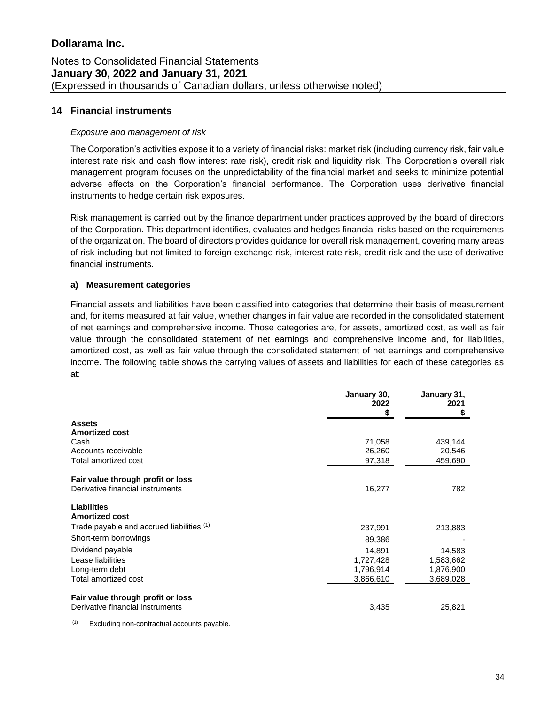### **14 Financial instruments**

### *Exposure and management of risk*

The Corporation's activities expose it to a variety of financial risks: market risk (including currency risk, fair value interest rate risk and cash flow interest rate risk), credit risk and liquidity risk. The Corporation's overall risk management program focuses on the unpredictability of the financial market and seeks to minimize potential adverse effects on the Corporation's financial performance. The Corporation uses derivative financial instruments to hedge certain risk exposures.

Risk management is carried out by the finance department under practices approved by the board of directors of the Corporation. This department identifies, evaluates and hedges financial risks based on the requirements of the organization. The board of directors provides guidance for overall risk management, covering many areas of risk including but not limited to foreign exchange risk, interest rate risk, credit risk and the use of derivative financial instruments.

### **a) Measurement categories**

Financial assets and liabilities have been classified into categories that determine their basis of measurement and, for items measured at fair value, whether changes in fair value are recorded in the consolidated statement of net earnings and comprehensive income. Those categories are, for assets, amortized cost, as well as fair value through the consolidated statement of net earnings and comprehensive income and, for liabilities, amortized cost, as well as fair value through the consolidated statement of net earnings and comprehensive income. The following table shows the carrying values of assets and liabilities for each of these categories as at:

|                                           | January 30,<br>2022<br>S | January 31,<br>2021<br>\$ |
|-------------------------------------------|--------------------------|---------------------------|
| <b>Assets</b>                             |                          |                           |
| <b>Amortized cost</b>                     |                          |                           |
| Cash                                      | 71,058                   | 439,144                   |
| Accounts receivable                       | 26,260                   | 20,546                    |
| Total amortized cost                      | 97,318                   | 459,690                   |
| Fair value through profit or loss         |                          |                           |
| Derivative financial instruments          | 16,277                   | 782                       |
| <b>Liabilities</b>                        |                          |                           |
| <b>Amortized cost</b>                     |                          |                           |
| Trade payable and accrued liabilities (1) | 237,991                  | 213,883                   |
| Short-term borrowings                     | 89,386                   |                           |
| Dividend payable                          | 14,891                   | 14,583                    |
| Lease liabilities                         | 1,727,428                | 1,583,662                 |
| Long-term debt                            | 1,796,914                | 1,876,900                 |
| Total amortized cost                      | 3,866,610                | 3,689,028                 |
| Fair value through profit or loss         |                          |                           |
| Derivative financial instruments          | 3,435                    | 25,821                    |

(1) Excluding non-contractual accounts payable.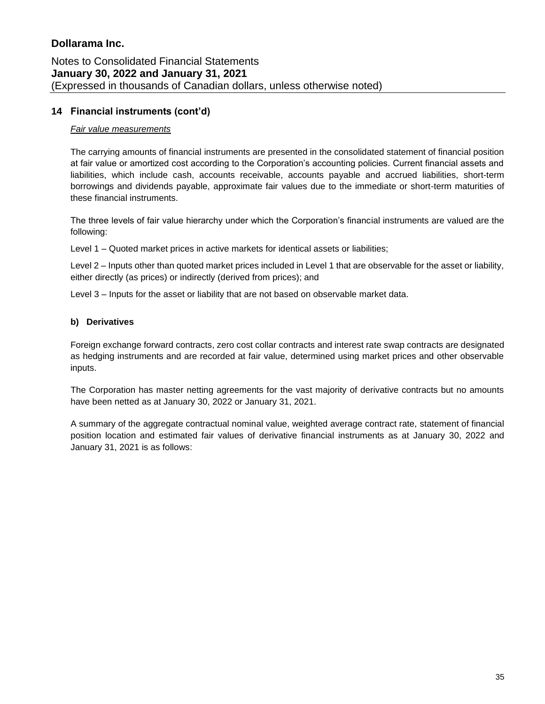### **14 Financial instruments (cont'd)**

### *Fair value measurements*

The carrying amounts of financial instruments are presented in the consolidated statement of financial position at fair value or amortized cost according to the Corporation's accounting policies. Current financial assets and liabilities, which include cash, accounts receivable, accounts payable and accrued liabilities, short-term borrowings and dividends payable, approximate fair values due to the immediate or short-term maturities of these financial instruments.

The three levels of fair value hierarchy under which the Corporation's financial instruments are valued are the following:

Level 1 – Quoted market prices in active markets for identical assets or liabilities;

Level 2 – Inputs other than quoted market prices included in Level 1 that are observable for the asset or liability, either directly (as prices) or indirectly (derived from prices); and

Level 3 – Inputs for the asset or liability that are not based on observable market data.

### **b) Derivatives**

Foreign exchange forward contracts, zero cost collar contracts and interest rate swap contracts are designated as hedging instruments and are recorded at fair value, determined using market prices and other observable inputs.

The Corporation has master netting agreements for the vast majority of derivative contracts but no amounts have been netted as at January 30, 2022 or January 31, 2021.

A summary of the aggregate contractual nominal value, weighted average contract rate, statement of financial position location and estimated fair values of derivative financial instruments as at January 30, 2022 and January 31, 2021 is as follows: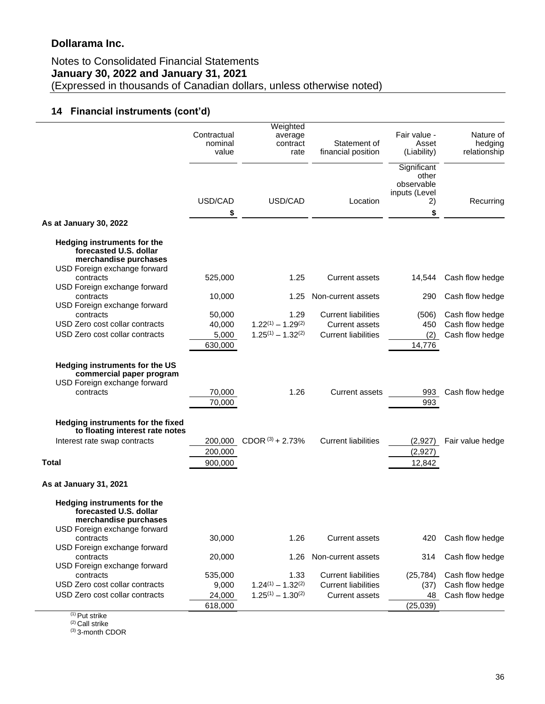$\overline{a}$ 

# Notes to Consolidated Financial Statements **January 30, 2022 and January 31, 2021**  (Expressed in thousands of Canadian dollars, unless otherwise noted)

# **14 Financial instruments (cont'd)**

| Weighted<br>Fair value -<br>Contractual<br>average<br>nominal<br>Statement of<br>Asset<br>contract                                                                                | Nature of<br>hedging<br>relationship |
|-----------------------------------------------------------------------------------------------------------------------------------------------------------------------------------|--------------------------------------|
| financial position<br>(Liability)<br>value<br>rate                                                                                                                                |                                      |
| Significant<br>other<br>observable<br>inputs (Level<br>USD/CAD<br>USD/CAD<br>Location<br>2)<br>\$<br>\$<br>As at January 30, 2022                                                 | Recurring                            |
|                                                                                                                                                                                   |                                      |
| Hedging instruments for the<br>forecasted U.S. dollar<br>merchandise purchases<br>USD Foreign exchange forward<br>contracts<br>525,000<br>1.25<br><b>Current assets</b><br>14,544 | Cash flow hedge                      |
| USD Foreign exchange forward                                                                                                                                                      |                                      |
| 290<br>contracts<br>10,000<br>1.25<br>Non-current assets<br>USD Foreign exchange forward                                                                                          | Cash flow hedge                      |
| 50,000<br>1.29<br><b>Current liabilities</b><br>(506)<br>contracts                                                                                                                | Cash flow hedge                      |
| USD Zero cost collar contracts<br>$1.22^{(1)} - 1.29^{(2)}$<br>40,000<br>450<br><b>Current assets</b>                                                                             | Cash flow hedge                      |
| USD Zero cost collar contracts<br>$1.25^{(1)} - 1.32^{(2)}$<br>5,000<br><b>Current liabilities</b><br>(2)                                                                         | Cash flow hedge                      |
| 630,000<br>14,776                                                                                                                                                                 |                                      |
| Hedging instruments for the US<br>commercial paper program<br>USD Foreign exchange forward<br>1.26<br>contracts<br>993<br>70,000<br><b>Current assets</b><br>70,000<br>993        | Cash flow hedge                      |
| Hedging instruments for the fixed                                                                                                                                                 |                                      |
| to floating interest rate notes<br>CDOR $(3)$ + 2.73%<br><b>Current liabilities</b><br>Interest rate swap contracts<br>200,000<br>(2,927)<br>200,000<br>(2,927)                   | Fair value hedge                     |
| Total<br>900,000<br>12,842                                                                                                                                                        |                                      |
| As at January 31, 2021                                                                                                                                                            |                                      |
| Hedging instruments for the<br>forecasted U.S. dollar<br>merchandise purchases                                                                                                    |                                      |
| USD Foreign exchange forward<br>contracts<br>30,000<br>1.26<br><b>Current assets</b><br>420                                                                                       | Cash flow hedge                      |
| USD Foreign exchange forward<br>contracts<br>20,000<br>1.26<br>Non-current assets<br>314<br>USD Foreign exchange forward                                                          | Cash flow hedge                      |
| contracts<br>535,000<br>1.33<br><b>Current liabilities</b><br>(25, 784)                                                                                                           | Cash flow hedge                      |
| $1.24^{(1)} - 1.32^{(2)}$<br>USD Zero cost collar contracts<br><b>Current liabilities</b><br>9,000<br>(37)                                                                        | Cash flow hedge                      |
| USD Zero cost collar contracts<br>$1.25^{(1)} - 1.30^{(2)}$<br>24,000<br><b>Current assets</b><br>48                                                                              | Cash flow hedge                      |
| (25, 039)<br>618,000                                                                                                                                                              |                                      |

(1) Put strike

 $\overline{a}$ 

(2) Call strike

(3) 3-month CDOR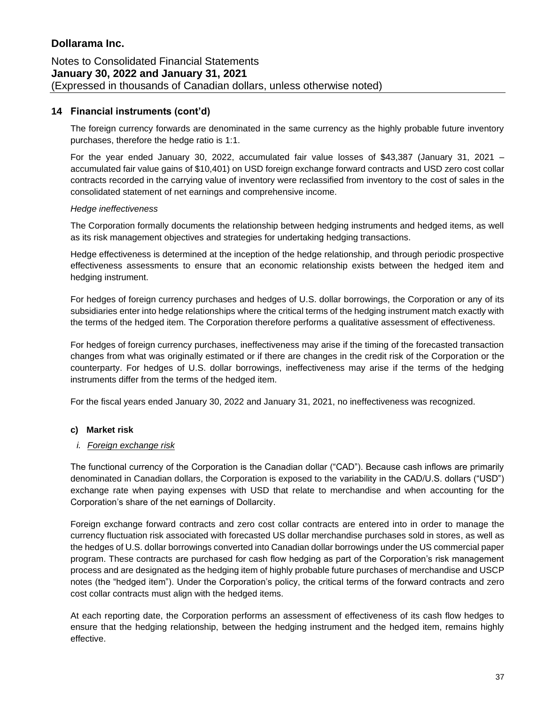# Notes to Consolidated Financial Statements **January 30, 2022 and January 31, 2021**  (Expressed in thousands of Canadian dollars, unless otherwise noted)

### **14 Financial instruments (cont'd)**

The foreign currency forwards are denominated in the same currency as the highly probable future inventory purchases, therefore the hedge ratio is 1:1.

For the year ended January 30, 2022, accumulated fair value losses of \$43,387 (January 31, 2021 – accumulated fair value gains of \$10,401) on USD foreign exchange forward contracts and USD zero cost collar contracts recorded in the carrying value of inventory were reclassified from inventory to the cost of sales in the consolidated statement of net earnings and comprehensive income.

### *Hedge ineffectiveness*

The Corporation formally documents the relationship between hedging instruments and hedged items, as well as its risk management objectives and strategies for undertaking hedging transactions.

Hedge effectiveness is determined at the inception of the hedge relationship, and through periodic prospective effectiveness assessments to ensure that an economic relationship exists between the hedged item and hedging instrument.

For hedges of foreign currency purchases and hedges of U.S. dollar borrowings, the Corporation or any of its subsidiaries enter into hedge relationships where the critical terms of the hedging instrument match exactly with the terms of the hedged item. The Corporation therefore performs a qualitative assessment of effectiveness.

For hedges of foreign currency purchases, ineffectiveness may arise if the timing of the forecasted transaction changes from what was originally estimated or if there are changes in the credit risk of the Corporation or the counterparty. For hedges of U.S. dollar borrowings, ineffectiveness may arise if the terms of the hedging instruments differ from the terms of the hedged item.

For the fiscal years ended January 30, 2022 and January 31, 2021, no ineffectiveness was recognized.

### **c) Market risk**

### *i. Foreign exchange risk*

The functional currency of the Corporation is the Canadian dollar ("CAD"). Because cash inflows are primarily denominated in Canadian dollars, the Corporation is exposed to the variability in the CAD/U.S. dollars ("USD") exchange rate when paying expenses with USD that relate to merchandise and when accounting for the Corporation's share of the net earnings of Dollarcity.

Foreign exchange forward contracts and zero cost collar contracts are entered into in order to manage the currency fluctuation risk associated with forecasted US dollar merchandise purchases sold in stores, as well as the hedges of U.S. dollar borrowings converted into Canadian dollar borrowings under the US commercial paper program. These contracts are purchased for cash flow hedging as part of the Corporation's risk management process and are designated as the hedging item of highly probable future purchases of merchandise and USCP notes (the "hedged item"). Under the Corporation's policy, the critical terms of the forward contracts and zero cost collar contracts must align with the hedged items.

At each reporting date, the Corporation performs an assessment of effectiveness of its cash flow hedges to ensure that the hedging relationship, between the hedging instrument and the hedged item, remains highly effective.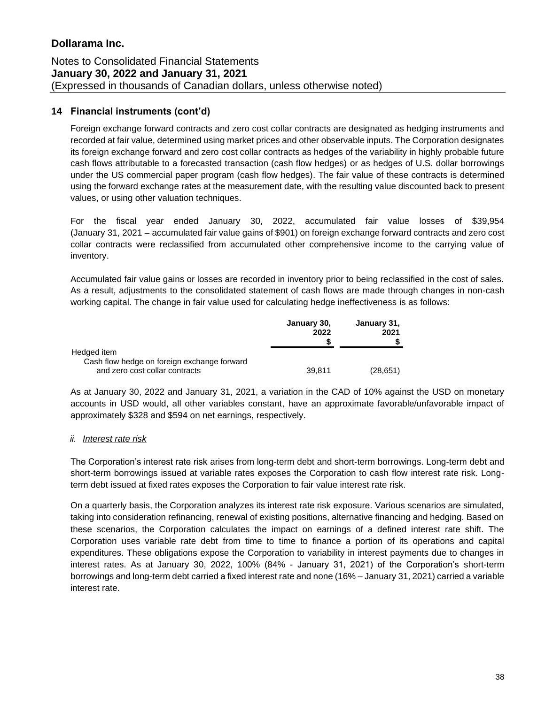# Notes to Consolidated Financial Statements **January 30, 2022 and January 31, 2021**  (Expressed in thousands of Canadian dollars, unless otherwise noted)

### **14 Financial instruments (cont'd)**

Foreign exchange forward contracts and zero cost collar contracts are designated as hedging instruments and recorded at fair value, determined using market prices and other observable inputs. The Corporation designates its foreign exchange forward and zero cost collar contracts as hedges of the variability in highly probable future cash flows attributable to a forecasted transaction (cash flow hedges) or as hedges of U.S. dollar borrowings under the US commercial paper program (cash flow hedges). The fair value of these contracts is determined using the forward exchange rates at the measurement date, with the resulting value discounted back to present values, or using other valuation techniques.

For the fiscal year ended January 30, 2022, accumulated fair value losses of \$39,954 (January 31, 2021 – accumulated fair value gains of \$901) on foreign exchange forward contracts and zero cost collar contracts were reclassified from accumulated other comprehensive income to the carrying value of inventory.

Accumulated fair value gains or losses are recorded in inventory prior to being reclassified in the cost of sales. As a result, adjustments to the consolidated statement of cash flows are made through changes in non-cash working capital. The change in fair value used for calculating hedge ineffectiveness is as follows:

|                                                                                              | January 30,<br>2022 | January 31,<br>2021 |
|----------------------------------------------------------------------------------------------|---------------------|---------------------|
| Hedged item<br>Cash flow hedge on foreign exchange forward<br>and zero cost collar contracts | 39.811              | (28, 651)           |

As at January 30, 2022 and January 31, 2021, a variation in the CAD of 10% against the USD on monetary accounts in USD would, all other variables constant, have an approximate favorable/unfavorable impact of approximately \$328 and \$594 on net earnings, respectively.

### *ii. Interest rate risk*

The Corporation's interest rate risk arises from long-term debt and short-term borrowings. Long-term debt and short-term borrowings issued at variable rates exposes the Corporation to cash flow interest rate risk. Longterm debt issued at fixed rates exposes the Corporation to fair value interest rate risk.

On a quarterly basis, the Corporation analyzes its interest rate risk exposure. Various scenarios are simulated, taking into consideration refinancing, renewal of existing positions, alternative financing and hedging. Based on these scenarios, the Corporation calculates the impact on earnings of a defined interest rate shift. The Corporation uses variable rate debt from time to time to finance a portion of its operations and capital expenditures. These obligations expose the Corporation to variability in interest payments due to changes in interest rates. As at January 30, 2022, 100% (84% - January 31, 2021) of the Corporation's short-term borrowings and long-term debt carried a fixed interest rate and none (16% – January 31, 2021) carried a variable interest rate.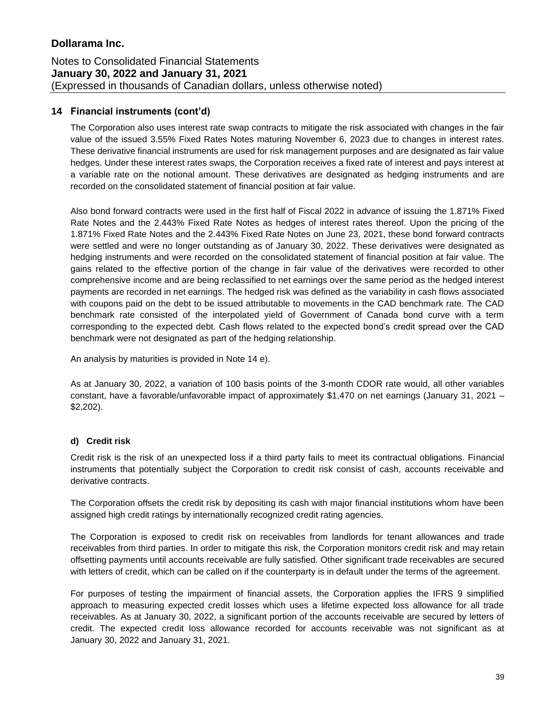# Notes to Consolidated Financial Statements **January 30, 2022 and January 31, 2021**  (Expressed in thousands of Canadian dollars, unless otherwise noted)

### **14 Financial instruments (cont'd)**

The Corporation also uses interest rate swap contracts to mitigate the risk associated with changes in the fair value of the issued 3.55% Fixed Rates Notes maturing November 6, 2023 due to changes in interest rates. These derivative financial instruments are used for risk management purposes and are designated as fair value hedges. Under these interest rates swaps, the Corporation receives a fixed rate of interest and pays interest at a variable rate on the notional amount. These derivatives are designated as hedging instruments and are recorded on the consolidated statement of financial position at fair value.

Also bond forward contracts were used in the first half of Fiscal 2022 in advance of issuing the 1.871% Fixed Rate Notes and the 2.443% Fixed Rate Notes as hedges of interest rates thereof. Upon the pricing of the 1.871% Fixed Rate Notes and the 2.443% Fixed Rate Notes on June 23, 2021, these bond forward contracts were settled and were no longer outstanding as of January 30, 2022. These derivatives were designated as hedging instruments and were recorded on the consolidated statement of financial position at fair value. The gains related to the effective portion of the change in fair value of the derivatives were recorded to other comprehensive income and are being reclassified to net earnings over the same period as the hedged interest payments are recorded in net earnings. The hedged risk was defined as the variability in cash flows associated with coupons paid on the debt to be issued attributable to movements in the CAD benchmark rate. The CAD benchmark rate consisted of the interpolated yield of Government of Canada bond curve with a term corresponding to the expected debt. Cash flows related to the expected bond's credit spread over the CAD benchmark were not designated as part of the hedging relationship.

An analysis by maturities is provided in Note 14 e).

As at January 30, 2022, a variation of 100 basis points of the 3-month CDOR rate would, all other variables constant, have a favorable/unfavorable impact of approximately \$1,470 on net earnings (January 31, 2021 – \$2,202).

### **d) Credit risk**

Credit risk is the risk of an unexpected loss if a third party fails to meet its contractual obligations. Financial instruments that potentially subject the Corporation to credit risk consist of cash, accounts receivable and derivative contracts.

The Corporation offsets the credit risk by depositing its cash with major financial institutions whom have been assigned high credit ratings by internationally recognized credit rating agencies.

The Corporation is exposed to credit risk on receivables from landlords for tenant allowances and trade receivables from third parties. In order to mitigate this risk, the Corporation monitors credit risk and may retain offsetting payments until accounts receivable are fully satisfied. Other significant trade receivables are secured with letters of credit, which can be called on if the counterparty is in default under the terms of the agreement.

For purposes of testing the impairment of financial assets, the Corporation applies the IFRS 9 simplified approach to measuring expected credit losses which uses a lifetime expected loss allowance for all trade receivables. As at January 30, 2022, a significant portion of the accounts receivable are secured by letters of credit. The expected credit loss allowance recorded for accounts receivable was not significant as at January 30, 2022 and January 31, 2021.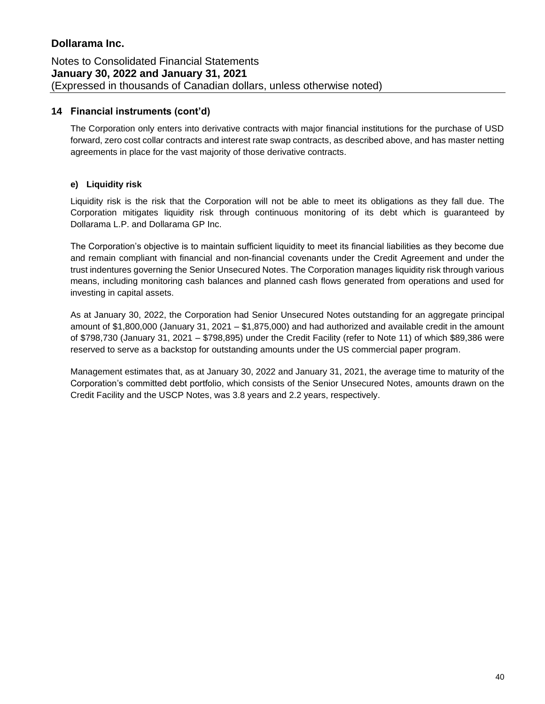### **14 Financial instruments (cont'd)**

The Corporation only enters into derivative contracts with major financial institutions for the purchase of USD forward, zero cost collar contracts and interest rate swap contracts, as described above, and has master netting agreements in place for the vast majority of those derivative contracts.

### **e) Liquidity risk**

Liquidity risk is the risk that the Corporation will not be able to meet its obligations as they fall due. The Corporation mitigates liquidity risk through continuous monitoring of its debt which is guaranteed by Dollarama L.P. and Dollarama GP Inc.

The Corporation's objective is to maintain sufficient liquidity to meet its financial liabilities as they become due and remain compliant with financial and non-financial covenants under the Credit Agreement and under the trust indentures governing the Senior Unsecured Notes. The Corporation manages liquidity risk through various means, including monitoring cash balances and planned cash flows generated from operations and used for investing in capital assets.

As at January 30, 2022, the Corporation had Senior Unsecured Notes outstanding for an aggregate principal amount of \$1,800,000 (January 31, 2021 – \$1,875,000) and had authorized and available credit in the amount of \$798,730 (January 31, 2021 – \$798,895) under the Credit Facility (refer to Note 11) of which \$89,386 were reserved to serve as a backstop for outstanding amounts under the US commercial paper program.

Management estimates that, as at January 30, 2022 and January 31, 2021, the average time to maturity of the Corporation's committed debt portfolio, which consists of the Senior Unsecured Notes, amounts drawn on the Credit Facility and the USCP Notes, was 3.8 years and 2.2 years, respectively.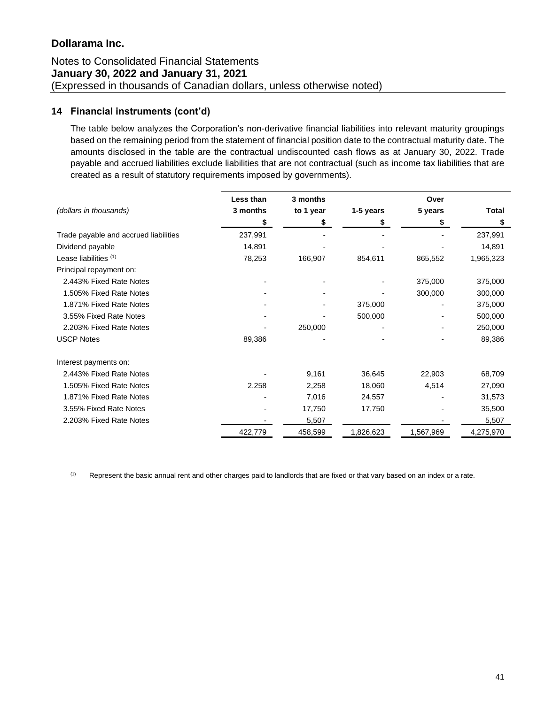# Notes to Consolidated Financial Statements **January 30, 2022 and January 31, 2021**  (Expressed in thousands of Canadian dollars, unless otherwise noted)

### **14 Financial instruments (cont'd)**

The table below analyzes the Corporation's non-derivative financial liabilities into relevant maturity groupings based on the remaining period from the statement of financial position date to the contractual maturity date. The amounts disclosed in the table are the contractual undiscounted cash flows as at January 30, 2022. Trade payable and accrued liabilities exclude liabilities that are not contractual (such as income tax liabilities that are created as a result of statutory requirements imposed by governments).

|                                       | Less than | 3 months  |           | Over      |           |
|---------------------------------------|-----------|-----------|-----------|-----------|-----------|
| (dollars in thousands)                | 3 months  | to 1 year | 1-5 years | 5 years   | Total     |
|                                       | \$        | \$        | \$        | \$        | \$        |
| Trade payable and accrued liabilities | 237,991   |           |           |           | 237,991   |
| Dividend payable                      | 14,891    |           |           |           | 14,891    |
| Lease liabilities (1)                 | 78,253    | 166,907   | 854,611   | 865,552   | 1,965,323 |
| Principal repayment on:               |           |           |           |           |           |
| 2.443% Fixed Rate Notes               |           |           |           | 375,000   | 375,000   |
| 1.505% Fixed Rate Notes               |           |           |           | 300,000   | 300,000   |
| 1.871% Fixed Rate Notes               |           |           | 375,000   |           | 375,000   |
| 3.55% Fixed Rate Notes                |           |           | 500,000   |           | 500,000   |
| 2.203% Fixed Rate Notes               |           | 250,000   |           |           | 250,000   |
| <b>USCP Notes</b>                     | 89,386    |           |           |           | 89,386    |
| Interest payments on:                 |           |           |           |           |           |
| 2.443% Fixed Rate Notes               |           | 9,161     | 36,645    | 22,903    | 68,709    |
| 1.505% Fixed Rate Notes               | 2,258     | 2,258     | 18,060    | 4,514     | 27,090    |
| 1.871% Fixed Rate Notes               |           | 7,016     | 24,557    |           | 31,573    |
| 3.55% Fixed Rate Notes                |           | 17,750    | 17,750    |           | 35,500    |
| 2.203% Fixed Rate Notes               |           | 5,507     |           |           | 5,507     |
|                                       | 422,779   | 458,599   | 1,826,623 | 1,567,969 | 4,275,970 |

(1) Represent the basic annual rent and other charges paid to landlords that are fixed or that vary based on an index or a rate.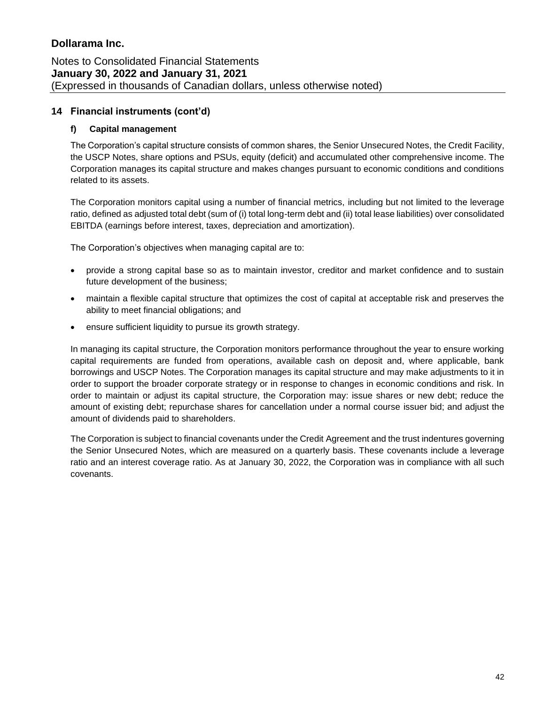### **14 Financial instruments (cont'd)**

### **f) Capital management**

The Corporation's capital structure consists of common shares, the Senior Unsecured Notes, the Credit Facility, the USCP Notes, share options and PSUs, equity (deficit) and accumulated other comprehensive income. The Corporation manages its capital structure and makes changes pursuant to economic conditions and conditions related to its assets.

The Corporation monitors capital using a number of financial metrics, including but not limited to the leverage ratio, defined as adjusted total debt (sum of (i) total long-term debt and (ii) total lease liabilities) over consolidated EBITDA (earnings before interest, taxes, depreciation and amortization).

The Corporation's objectives when managing capital are to:

- provide a strong capital base so as to maintain investor, creditor and market confidence and to sustain future development of the business;
- maintain a flexible capital structure that optimizes the cost of capital at acceptable risk and preserves the ability to meet financial obligations; and
- ensure sufficient liquidity to pursue its growth strategy.

In managing its capital structure, the Corporation monitors performance throughout the year to ensure working capital requirements are funded from operations, available cash on deposit and, where applicable, bank borrowings and USCP Notes. The Corporation manages its capital structure and may make adjustments to it in order to support the broader corporate strategy or in response to changes in economic conditions and risk. In order to maintain or adjust its capital structure, the Corporation may: issue shares or new debt; reduce the amount of existing debt; repurchase shares for cancellation under a normal course issuer bid; and adjust the amount of dividends paid to shareholders.

The Corporation is subject to financial covenants under the Credit Agreement and the trust indentures governing the Senior Unsecured Notes, which are measured on a quarterly basis. These covenants include a leverage ratio and an interest coverage ratio. As at January 30, 2022, the Corporation was in compliance with all such covenants.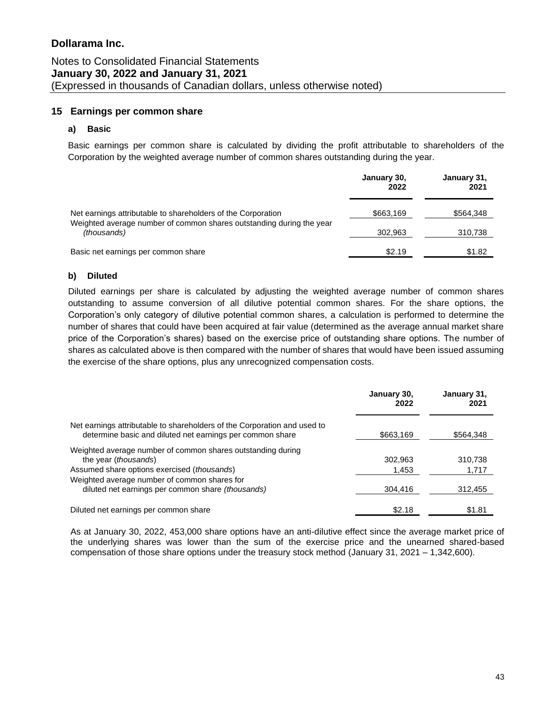### **15 Earnings per common share**

### **a) Basic**

Basic earnings per common share is calculated by dividing the profit attributable to shareholders of the Corporation by the weighted average number of common shares outstanding during the year.

|                                                                                                                                      | January 30,<br>2022 | January 31,<br>2021 |
|--------------------------------------------------------------------------------------------------------------------------------------|---------------------|---------------------|
| Net earnings attributable to shareholders of the Corporation<br>Weighted average number of common shares outstanding during the year | \$663,169           | \$564,348           |
| (thousands)                                                                                                                          | 302.963             | 310,738             |
| Basic net earnings per common share                                                                                                  | \$2.19              | \$1.82              |

### **b) Diluted**

Diluted earnings per share is calculated by adjusting the weighted average number of common shares outstanding to assume conversion of all dilutive potential common shares. For the share options, the Corporation's only category of dilutive potential common shares, a calculation is performed to determine the number of shares that could have been acquired at fair value (determined as the average annual market share price of the Corporation's shares) based on the exercise price of outstanding share options. The number of shares as calculated above is then compared with the number of shares that would have been issued assuming the exercise of the share options, plus any unrecognized compensation costs.

|                                                                                                                                           | January 30,<br>2022 | January 31,<br>2021 |
|-------------------------------------------------------------------------------------------------------------------------------------------|---------------------|---------------------|
| Net earnings attributable to shareholders of the Corporation and used to<br>determine basic and diluted net earnings per common share     | \$663,169           | \$564,348           |
| Weighted average number of common shares outstanding during<br>the year <i>(thousands)</i><br>Assumed share options exercised (thousands) | 302,963<br>1,453    | 310,738<br>1,717    |
| Weighted average number of common shares for<br>diluted net earnings per common share <i>(thousands)</i>                                  | 304.416             | 312,455             |
| Diluted net earnings per common share                                                                                                     | \$2.18              | \$1.81              |

As at January 30, 2022, 453,000 share options have an anti-dilutive effect since the average market price of the underlying shares was lower than the sum of the exercise price and the unearned shared-based compensation of those share options under the treasury stock method (January 31, 2021 – 1,342,600).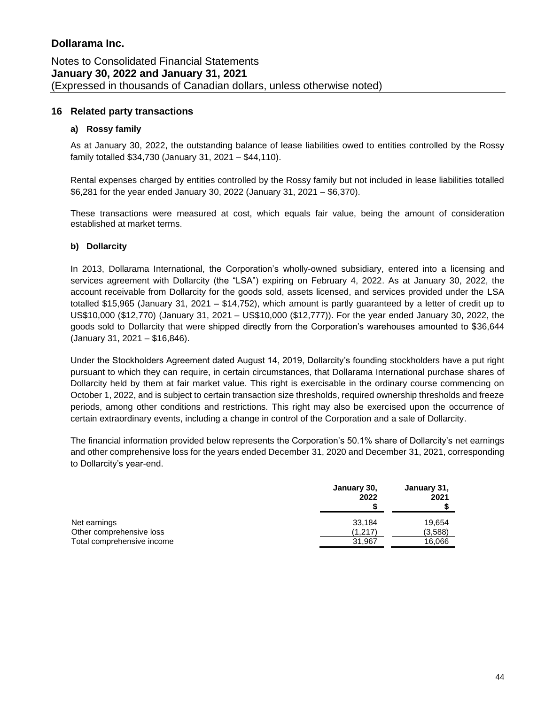### **16 Related party transactions**

### **a) Rossy family**

As at January 30, 2022, the outstanding balance of lease liabilities owed to entities controlled by the Rossy family totalled \$34,730 (January 31, 2021 – \$44,110).

Rental expenses charged by entities controlled by the Rossy family but not included in lease liabilities totalled \$6,281 for the year ended January 30, 2022 (January 31, 2021 – \$6,370).

These transactions were measured at cost, which equals fair value, being the amount of consideration established at market terms.

### **b) Dollarcity**

In 2013, Dollarama International, the Corporation's wholly-owned subsidiary, entered into a licensing and services agreement with Dollarcity (the "LSA") expiring on February 4, 2022. As at January 30, 2022, the account receivable from Dollarcity for the goods sold, assets licensed, and services provided under the LSA totalled \$15,965 (January 31, 2021 – \$14,752), which amount is partly guaranteed by a letter of credit up to US\$10,000 (\$12,770) (January 31, 2021 – US\$10,000 (\$12,777)). For the year ended January 30, 2022, the goods sold to Dollarcity that were shipped directly from the Corporation's warehouses amounted to \$36,644 (January 31, 2021 – \$16,846).

Under the Stockholders Agreement dated August 14, 2019, Dollarcity's founding stockholders have a put right pursuant to which they can require, in certain circumstances, that Dollarama International purchase shares of Dollarcity held by them at fair market value. This right is exercisable in the ordinary course commencing on October 1, 2022, and is subject to certain transaction size thresholds, required ownership thresholds and freeze periods, among other conditions and restrictions. This right may also be exercised upon the occurrence of certain extraordinary events, including a change in control of the Corporation and a sale of Dollarcity.

The financial information provided below represents the Corporation's 50.1% share of Dollarcity's net earnings and other comprehensive loss for the years ended December 31, 2020 and December 31, 2021, corresponding to Dollarcity's year-end.

|                            | January 30,<br>2022 | January 31,<br>2021 |
|----------------------------|---------------------|---------------------|
| Net earnings               | 33,184              | 19.654              |
| Other comprehensive loss   | (1.217)             | (3,588)             |
| Total comprehensive income | 31.967              | 16.066              |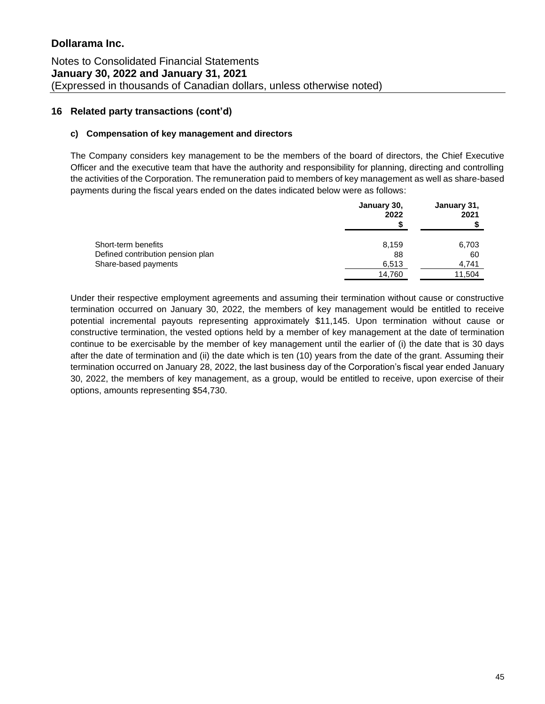### **16 Related party transactions (cont'd)**

### **c) Compensation of key management and directors**

The Company considers key management to be the members of the board of directors, the Chief Executive Officer and the executive team that have the authority and responsibility for planning, directing and controlling the activities of the Corporation. The remuneration paid to members of key management as well as share-based payments during the fiscal years ended on the dates indicated below were as follows:

|                                   | January 30,<br>2022 | January 31,<br>2021 |  |
|-----------------------------------|---------------------|---------------------|--|
| Short-term benefits               | 8.159               | 6,703               |  |
| Defined contribution pension plan | 88                  | 60                  |  |
| Share-based payments              | 6,513               | 4,741               |  |
|                                   | 14.760              | 11,504              |  |

Under their respective employment agreements and assuming their termination without cause or constructive termination occurred on January 30, 2022, the members of key management would be entitled to receive potential incremental payouts representing approximately \$11,145. Upon termination without cause or constructive termination, the vested options held by a member of key management at the date of termination continue to be exercisable by the member of key management until the earlier of (i) the date that is 30 days after the date of termination and (ii) the date which is ten (10) years from the date of the grant. Assuming their termination occurred on January 28, 2022, the last business day of the Corporation's fiscal year ended January 30, 2022, the members of key management, as a group, would be entitled to receive, upon exercise of their options, amounts representing \$54,730.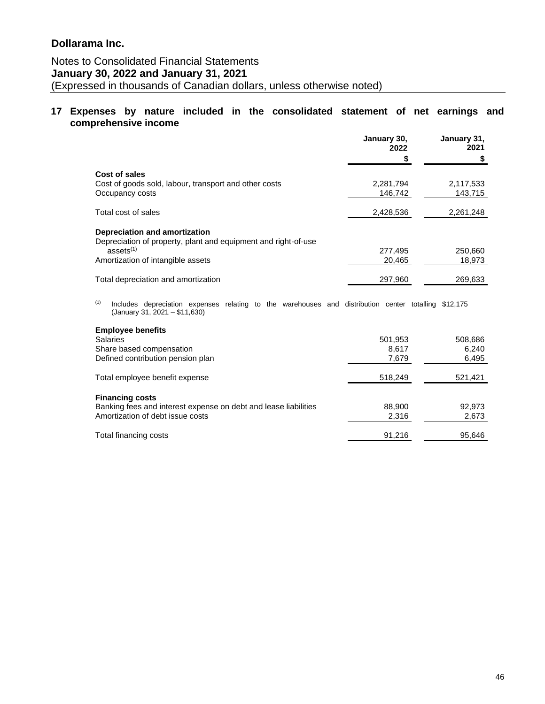Notes to Consolidated Financial Statements **January 30, 2022 and January 31, 2021**  (Expressed in thousands of Canadian dollars, unless otherwise noted)

### **17 Expenses by nature included in the consolidated statement of net earnings and comprehensive income**

|                                                                                                                                              | January 30,<br>2022 | January 31,<br>2021 |
|----------------------------------------------------------------------------------------------------------------------------------------------|---------------------|---------------------|
|                                                                                                                                              | \$                  | \$                  |
| Cost of sales                                                                                                                                |                     |                     |
| Cost of goods sold, labour, transport and other costs                                                                                        | 2,281,794           | 2,117,533           |
| Occupancy costs                                                                                                                              | 146,742             | 143,715             |
| Total cost of sales                                                                                                                          | 2,428,536           | 2,261,248           |
| <b>Depreciation and amortization</b>                                                                                                         |                     |                     |
| Depreciation of property, plant and equipment and right-of-use<br>ases <sup>(1)</sup>                                                        | 277,495             | 250,660             |
| Amortization of intangible assets                                                                                                            | 20,465              | 18,973              |
|                                                                                                                                              |                     |                     |
| Total depreciation and amortization                                                                                                          | 297,960             | 269,633             |
| (1)<br>Includes depreciation expenses relating to the warehouses and distribution center totalling \$12,175<br>(January 31, 2021 - \$11,630) |                     |                     |
| <b>Employee benefits</b>                                                                                                                     |                     |                     |
| <b>Salaries</b>                                                                                                                              | 501,953             | 508,686             |
| Share based compensation<br>Defined contribution pension plan                                                                                | 8,617<br>7,679      | 6,240<br>6,495      |
|                                                                                                                                              |                     |                     |
| Total employee benefit expense                                                                                                               | 518,249             | 521,421             |
|                                                                                                                                              |                     |                     |
| <b>Financing costs</b><br>Banking fees and interest expense on debt and lease liabilities                                                    | 88,900              | 92,973              |
| Amortization of debt issue costs                                                                                                             | 2,316               | 2,673               |
| Total financing costs                                                                                                                        | 91,216              | 95,646              |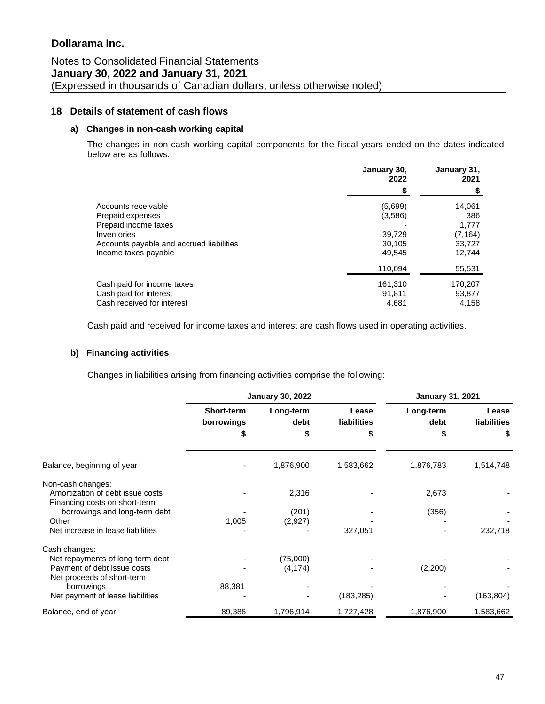### **18 Details of statement of cash flows**

### **a) Changes in non-cash working capital**

The changes in non-cash working capital components for the fiscal years ended on the dates indicated below are as follows:

|                                          | January 30,<br>2022 | January 31,<br>2021 |
|------------------------------------------|---------------------|---------------------|
|                                          | S                   |                     |
| Accounts receivable                      | (5,699)             | 14,061              |
| Prepaid expenses                         | (3,586)             | 386                 |
| Prepaid income taxes                     |                     | 1,777               |
| Inventories                              | 39.729              | (7, 164)            |
| Accounts payable and accrued liabilities | 30,105              | 33,727              |
| Income taxes payable                     | 49,545              | 12,744              |
|                                          | 110,094             | 55,531              |
| Cash paid for income taxes               | 161.310             | 170,207             |
| Cash paid for interest                   | 91.811              | 93,877              |
| Cash received for interest               | 4.681               | 4.158               |

Cash paid and received for income taxes and interest are cash flows used in operating activities.

### **b) Financing activities**

Changes in liabilities arising from financing activities comprise the following:

|                                                                                               | <b>January 30, 2022</b>         |                      | <b>January 31, 2021</b>     |                   |                                   |
|-----------------------------------------------------------------------------------------------|---------------------------------|----------------------|-----------------------------|-------------------|-----------------------------------|
|                                                                                               | <b>Short-term</b><br>borrowings | Long-term<br>debt    | Lease<br><b>liabilities</b> | Long-term<br>debt | Lease<br><b>liabilities</b><br>\$ |
| Balance, beginning of year                                                                    |                                 | 1,876,900            | 1,583,662                   | 1,876,783         | 1,514,748                         |
| Non-cash changes:<br>Amortization of debt issue costs                                         |                                 | 2,316                |                             | 2,673             |                                   |
| Financing costs on short-term<br>borrowings and long-term debt<br>Other                       | 1,005                           | (201)<br>(2,927)     |                             | (356)             |                                   |
| Net increase in lease liabilities                                                             |                                 |                      | 327,051                     |                   | 232,718                           |
| Cash changes:                                                                                 |                                 |                      |                             |                   |                                   |
| Net repayments of long-term debt<br>Payment of debt issue costs<br>Net proceeds of short-term |                                 | (75,000)<br>(4, 174) |                             | (2,200)           |                                   |
| borrowings<br>Net payment of lease liabilities                                                | 88,381                          |                      | (183, 285)                  |                   | (163, 804)                        |
| Balance, end of year                                                                          | 89,386                          | 1,796,914            | 1,727,428                   | 1,876,900         | 1,583,662                         |